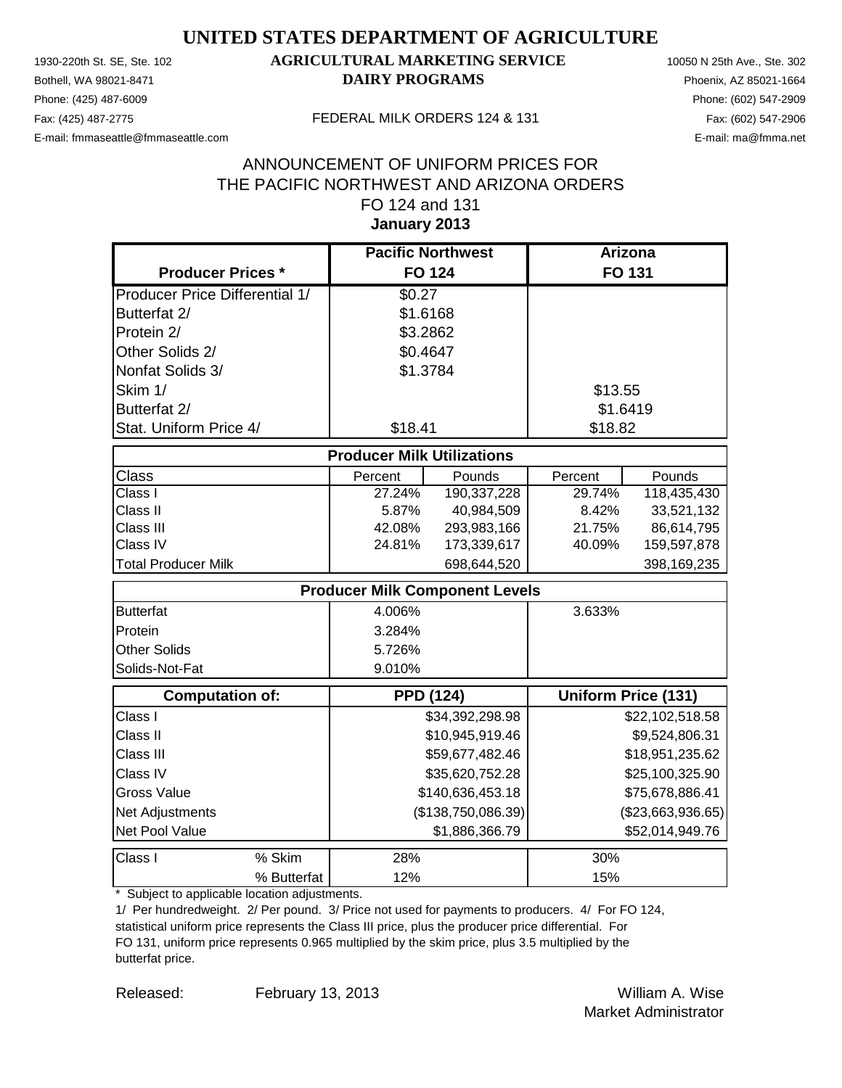Phone: (425) 487-6009 Phone: (602) 547-2909 E-mail: fmmaseattle@fmmaseattle.com E-mail: ma@fmma.net

### 1930-220th St. SE, Ste. 102 **AGRICULTURAL MARKETING SERVICE** 10050 N 25th Ave., Ste. 302 Bothell, WA 98021-8471 **DAIRY PROGRAMS** Phoenix, AZ 85021-1664

#### Fax: (425) 487-2775 FEDERAL MILK ORDERS 124 & 131

### **January 2013** ANNOUNCEMENT OF UNIFORM PRICES FOR THE PACIFIC NORTHWEST AND ARIZONA ORDERS FO 124 and 131

|                                       | <b>Pacific Northwest</b>              |                 | <b>Arizona</b>  |                            |
|---------------------------------------|---------------------------------------|-----------------|-----------------|----------------------------|
| <b>Producer Prices *</b>              | <b>FO 124</b>                         |                 |                 | FO 131                     |
| <b>Producer Price Differential 1/</b> | \$0.27                                |                 |                 |                            |
| Butterfat 2/                          | \$1.6168                              |                 |                 |                            |
| Protein 2/                            | \$3.2862                              |                 |                 |                            |
| Other Solids 2/                       | \$0.4647                              |                 |                 |                            |
| Nonfat Solids 3/                      | \$1.3784                              |                 |                 |                            |
| Skim 1/                               |                                       |                 | \$13.55         |                            |
| Butterfat 2/                          |                                       |                 |                 | \$1.6419                   |
| Stat. Uniform Price 4/                | \$18.41                               |                 | \$18.82         |                            |
|                                       | <b>Producer Milk Utilizations</b>     |                 |                 |                            |
| <b>Class</b>                          | Percent                               | Pounds          | Percent         | Pounds                     |
| Class I                               | 27.24%                                | 190,337,228     | 29.74%          | 118,435,430                |
| Class II                              | 5.87%                                 | 40,984,509      | 8.42%           | 33,521,132                 |
| Class III                             | 42.08%                                | 293,983,166     | 21.75%          | 86,614,795                 |
| Class IV                              | 24.81%                                | 173,339,617     | 40.09%          | 159,597,878                |
| <b>Total Producer Milk</b>            |                                       | 698,644,520     |                 | 398,169,235                |
|                                       | <b>Producer Milk Component Levels</b> |                 |                 |                            |
| <b>Butterfat</b>                      | 4.006%                                |                 | 3.633%          |                            |
| Protein                               | 3.284%                                |                 |                 |                            |
| <b>Other Solids</b>                   | 5.726%                                |                 |                 |                            |
| Solids-Not-Fat                        | 9.010%                                |                 |                 |                            |
| <b>Computation of:</b>                | <b>PPD (124)</b>                      |                 |                 | <b>Uniform Price (131)</b> |
| Class I                               |                                       | \$34,392,298.98 |                 | \$22,102,518.58            |
| Class II                              |                                       | \$10,945,919.46 |                 | \$9,524,806.31             |
| Class III                             |                                       | \$59,677,482.46 |                 | \$18,951,235.62            |
| Class IV                              | \$35,620,752.28                       |                 | \$25,100,325.90 |                            |
| <b>Gross Value</b>                    | \$140,636,453.18                      |                 |                 | \$75,678,886.41            |
| Net Adjustments                       | (\$138,750,086.39)                    |                 |                 | (\$23,663,936.65)          |
| Net Pool Value                        |                                       | \$1,886,366.79  |                 | \$52,014,949.76            |
| % Skim<br>Class I                     | 28%                                   |                 | 30%             |                            |
| % Butterfat                           | 12%                                   |                 | 15%             |                            |

\* Subject to applicable location adjustments.

1/ Per hundredweight. 2/ Per pound. 3/ Price not used for payments to producers. 4/ For FO 124, statistical uniform price represents the Class III price, plus the producer price differential. For FO 131, uniform price represents 0.965 multiplied by the skim price, plus 3.5 multiplied by the butterfat price.

Released: William A. Wise February 13, 2013 Market Administrator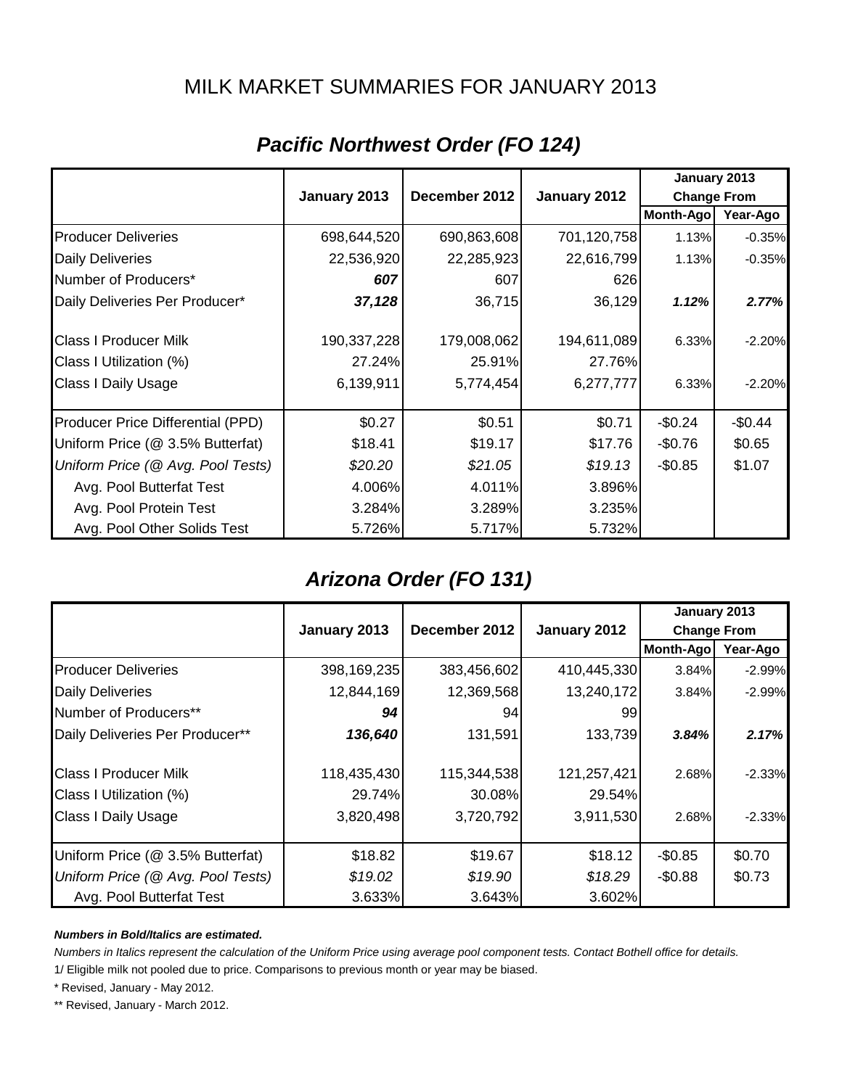### MILK MARKET SUMMARIES FOR JANUARY 2013

|                                   |              |               |              | January 2013       |          |
|-----------------------------------|--------------|---------------|--------------|--------------------|----------|
|                                   | January 2013 | December 2012 | January 2012 | <b>Change From</b> |          |
|                                   |              |               |              | Month-Ago          | Year-Ago |
| <b>Producer Deliveries</b>        | 698,644,520  | 690,863,608   | 701,120,758  | 1.13%              | $-0.35%$ |
| <b>Daily Deliveries</b>           | 22,536,920   | 22,285,923    | 22,616,799   | 1.13%              | $-0.35%$ |
| Number of Producers*              | 607          | 607           | 626          |                    |          |
| Daily Deliveries Per Producer*    | 37,128       | 36,715        | 36,129       | 1.12%              | 2.77%    |
| <b>Class I Producer Milk</b>      | 190,337,228  | 179,008,062   | 194,611,089  | 6.33%              | $-2.20%$ |
| Class I Utilization (%)           | 27.24%       | 25.91%        | 27.76%       |                    |          |
| Class I Daily Usage               | 6,139,911    | 5,774,454     | 6,277,777    | 6.33%              | $-2.20%$ |
| Producer Price Differential (PPD) | \$0.27       | \$0.51        | \$0.71       | $-$0.24$           | $-$0.44$ |
| Uniform Price (@ 3.5% Butterfat)  | \$18.41      | \$19.17       | \$17.76      | $-$0.76$           | \$0.65   |
| Uniform Price (@ Avg. Pool Tests) | \$20.20      | \$21.05       | \$19.13      | $-$0.85$           | \$1.07   |
| Avg. Pool Butterfat Test          | 4.006%       | 4.011%        | 3.896%       |                    |          |
| Avg. Pool Protein Test            | 3.284%       | 3.289%        | 3.235%       |                    |          |
| Avg. Pool Other Solids Test       | 5.726%       | 5.717%        | 5.732%       |                    |          |

# *Pacific Northwest Order (FO 124)*

## *Arizona Order (FO 131)*

|                                   |              |               |              | January 2013       |          |
|-----------------------------------|--------------|---------------|--------------|--------------------|----------|
|                                   | January 2013 | December 2012 | January 2012 | <b>Change From</b> |          |
|                                   |              |               |              | Month-Ago          | Year-Ago |
| <b>Producer Deliveries</b>        | 398,169,235  | 383,456,602   | 410,445,330  | 3.84%              | $-2.99%$ |
| <b>Daily Deliveries</b>           | 12,844,169   | 12,369,568    | 13,240,172   | 3.84%              | $-2.99%$ |
| Number of Producers**             | 94           | 94            | 99           |                    |          |
| Daily Deliveries Per Producer**   | 136,640      | 131,591       | 133,739      | 3.84%              | 2.17%    |
| <b>Class I Producer Milk</b>      | 118,435,430  | 115,344,538   | 121,257,421  | 2.68%              | $-2.33%$ |
| Class I Utilization (%)           | 29.74%       | 30.08%        | 29.54%       |                    |          |
| <b>Class I Daily Usage</b>        | 3,820,498    | 3,720,792     | 3,911,530    | 2.68%              | $-2.33%$ |
| Uniform Price (@ 3.5% Butterfat)  | \$18.82      | \$19.67       | \$18.12      | $-$0.85$           | \$0.70   |
| Uniform Price (@ Avg. Pool Tests) | \$19.02      | \$19.90       | \$18.29      | $-$0.88$           | \$0.73   |
| Avg. Pool Butterfat Test          | 3.633%       | 3.643%        | 3.602%       |                    |          |

#### *Numbers in Bold/Italics are estimated.*

*Numbers in Italics represent the calculation of the Uniform Price using average pool component tests. Contact Bothell office for details.*

1/ Eligible milk not pooled due to price. Comparisons to previous month or year may be biased.

\* Revised, January - May 2012.

\*\* Revised, January - March 2012.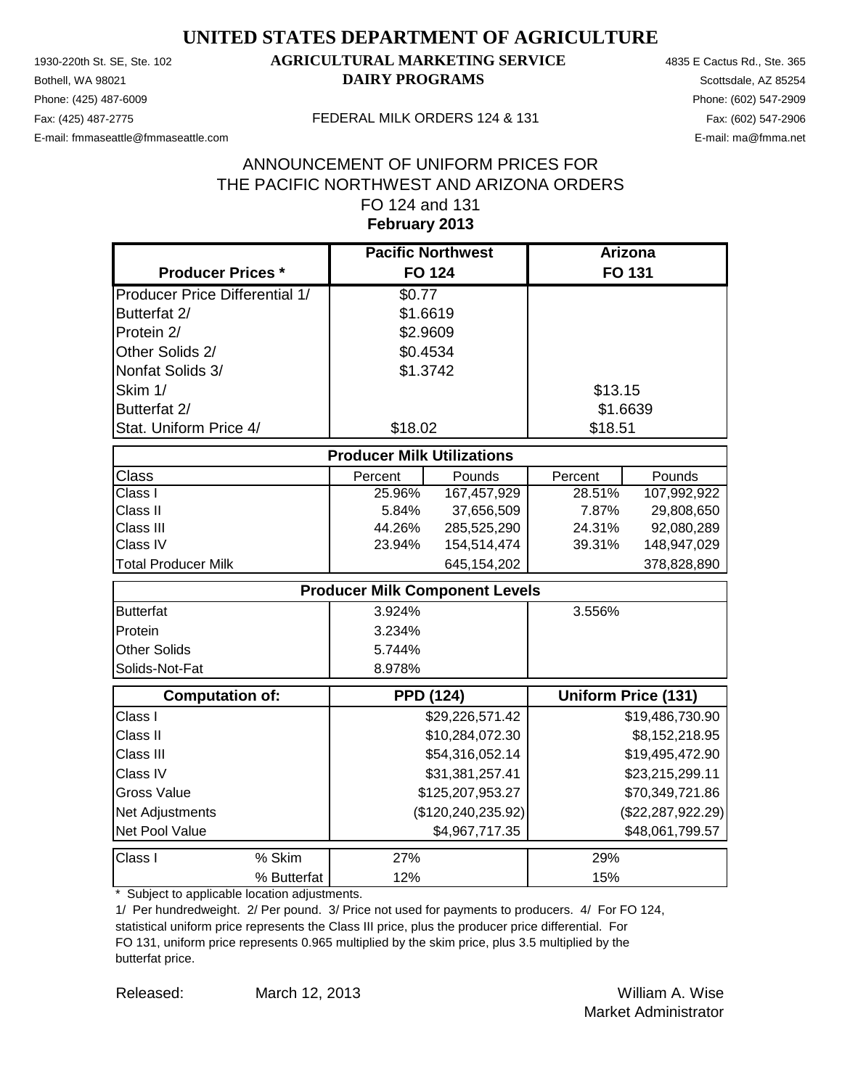Phone: (425) 487-6009 Phone: (602) 547-2909 E-mail: fmmaseattle@fmmaseattle.com E-mail: ma@fmma.net

### 1930-220th St. SE, Ste. 102 **AGRICULTURAL MARKETING SERVICE** 4835 E Cactus Rd., Ste. 365 **Bothell, WA 98021 DAIRY PROGRAMS** Scottsdale, AZ 85254

#### Fax: (425) 487-2775 FEDERAL MILK ORDERS 124 & 131

### **February 2013** ANNOUNCEMENT OF UNIFORM PRICES FOR THE PACIFIC NORTHWEST AND ARIZONA ORDERS FO 124 and 131

|                                       | <b>Pacific Northwest</b>          |                                       | Arizona  |                            |
|---------------------------------------|-----------------------------------|---------------------------------------|----------|----------------------------|
| <b>Producer Prices *</b>              |                                   | <b>FO 124</b>                         |          | <b>FO 131</b>              |
| <b>Producer Price Differential 1/</b> | \$0.77                            |                                       |          |                            |
| Butterfat 2/                          | \$1.6619                          |                                       |          |                            |
| Protein 2/                            | \$2.9609                          |                                       |          |                            |
| Other Solids 2/                       | \$0.4534                          |                                       |          |                            |
| Nonfat Solids 3/                      | \$1.3742                          |                                       |          |                            |
| Skim 1/                               |                                   |                                       | \$13.15  |                            |
| Butterfat 2/                          |                                   |                                       | \$1.6639 |                            |
| Stat. Uniform Price 4/                | \$18.02                           |                                       | \$18.51  |                            |
|                                       | <b>Producer Milk Utilizations</b> |                                       |          |                            |
| <b>Class</b>                          | Percent                           | Pounds                                | Percent  | Pounds                     |
| Class I                               | 25.96%                            | 167,457,929                           | 28.51%   | 107,992,922                |
| Class II                              | 5.84%                             | 37,656,509                            | 7.87%    | 29,808,650                 |
| Class III                             | 44.26%                            | 285,525,290                           | 24.31%   | 92,080,289                 |
| Class IV                              | 23.94%                            | 154,514,474                           | 39.31%   | 148,947,029                |
| <b>Total Producer Milk</b>            |                                   | 645,154,202                           |          | 378,828,890                |
|                                       |                                   | <b>Producer Milk Component Levels</b> |          |                            |
| <b>Butterfat</b>                      | 3.924%                            |                                       | 3.556%   |                            |
| Protein                               | 3.234%                            |                                       |          |                            |
| <b>Other Solids</b>                   | 5.744%                            |                                       |          |                            |
| Solids-Not-Fat                        | 8.978%                            |                                       |          |                            |
| Computation of:                       |                                   | <b>PPD (124)</b>                      |          | <b>Uniform Price (131)</b> |
| Class I                               |                                   | \$29,226,571.42                       |          | \$19,486,730.90            |
| Class II                              |                                   | \$10,284,072.30                       |          | \$8,152,218.95             |
| Class III                             |                                   | \$54,316,052.14                       |          | \$19,495,472.90            |
| Class IV                              |                                   | \$31,381,257.41                       |          | \$23,215,299.11            |
| <b>Gross Value</b>                    |                                   | \$125,207,953.27                      |          | \$70,349,721.86            |
| Net Adjustments                       |                                   | (\$120, 240, 235.92)                  |          | (\$22, 287, 922.29)        |
| Net Pool Value                        |                                   | \$4,967,717.35                        |          | \$48,061,799.57            |
| Class I<br>% Skim                     | 27%                               |                                       | 29%      |                            |
| % Butterfat                           | 12%                               |                                       | 15%      |                            |

\* Subject to applicable location adjustments.

1/ Per hundredweight. 2/ Per pound. 3/ Price not used for payments to producers. 4/ For FO 124, statistical uniform price represents the Class III price, plus the producer price differential. For FO 131, uniform price represents 0.965 multiplied by the skim price, plus 3.5 multiplied by the butterfat price.

Released: William A. Wise March 12, 2013 Market Administrator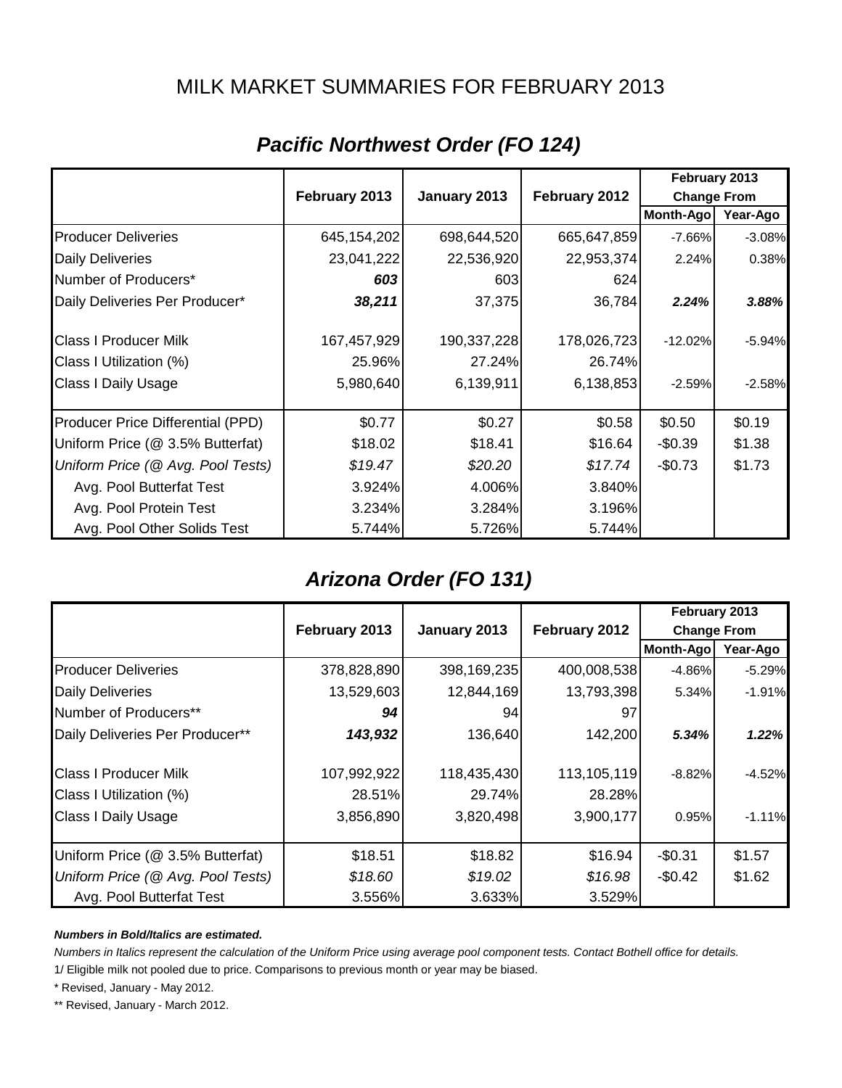### MILK MARKET SUMMARIES FOR FEBRUARY 2013

|                                   |               |              |               | February 2013      |          |
|-----------------------------------|---------------|--------------|---------------|--------------------|----------|
|                                   | February 2013 | January 2013 | February 2012 | <b>Change From</b> |          |
|                                   |               |              |               | Month-Ago          | Year-Ago |
| <b>Producer Deliveries</b>        | 645, 154, 202 | 698,644,520  | 665,647,859   | $-7.66\%$          | $-3.08%$ |
| <b>Daily Deliveries</b>           | 23,041,222    | 22,536,920   | 22,953,374    | 2.24%              | 0.38%    |
| Number of Producers*              | 603           | 603          | 624           |                    |          |
| Daily Deliveries Per Producer*    | 38,211        | 37,375       | 36,784        | 2.24%              | 3.88%    |
| <b>Class I Producer Milk</b>      | 167,457,929   | 190,337,228  | 178,026,723   | $-12.02%$          | $-5.94%$ |
| Class I Utilization (%)           | 25.96%        | 27.24%       | 26.74%        |                    |          |
| <b>Class I Daily Usage</b>        | 5,980,640     | 6,139,911    | 6,138,853     | $-2.59%$           | $-2.58%$ |
| Producer Price Differential (PPD) | \$0.77        | \$0.27       | \$0.58        | \$0.50             | \$0.19   |
| Uniform Price (@ 3.5% Butterfat)  | \$18.02       | \$18.41      | \$16.64       | $-$0.39$           | \$1.38   |
| Uniform Price (@ Avg. Pool Tests) | \$19.47       | \$20.20      | \$17.74       | $-$0.73$           | \$1.73   |
| Avg. Pool Butterfat Test          | 3.924%        | 4.006%       | 3.840%        |                    |          |
| Avg. Pool Protein Test            | 3.234%        | 3.284%       | 3.196%        |                    |          |
| Avg. Pool Other Solids Test       | 5.744%        | 5.726%       | 5.744%        |                    |          |

# *Pacific Northwest Order (FO 124)*

## *Arizona Order (FO 131)*

|                                   |               |              |               | February 2013      |          |
|-----------------------------------|---------------|--------------|---------------|--------------------|----------|
|                                   | February 2013 | January 2013 | February 2012 | <b>Change From</b> |          |
|                                   |               |              |               | Month-Ago          | Year-Ago |
| <b>Producer Deliveries</b>        | 378,828,890   | 398,169,235  | 400,008,538   | $-4.86%$           | $-5.29%$ |
| <b>Daily Deliveries</b>           | 13,529,603    | 12,844,169   | 13,793,398    | 5.34%              | $-1.91%$ |
| Number of Producers**             | 94            | 94           | 97            |                    |          |
| Daily Deliveries Per Producer**   | 143,932       | 136,640      | 142,200       | 5.34%              | 1.22%    |
| <b>Class I Producer Milk</b>      | 107,992,922   | 118,435,430  | 113,105,119   | $-8.82%$           | $-4.52%$ |
| Class I Utilization (%)           | 28.51%        | 29.74%       | 28.28%        |                    |          |
| <b>Class I Daily Usage</b>        | 3,856,890     | 3,820,498    | 3,900,177     | 0.95%              | $-1.11%$ |
| Uniform Price (@ 3.5% Butterfat)  | \$18.51       | \$18.82      | \$16.94       | $-$0.31$           | \$1.57   |
| Uniform Price (@ Avg. Pool Tests) | \$18.60       | \$19.02      | \$16.98       | $-$0.42$           | \$1.62   |
| Avg. Pool Butterfat Test          | 3.556%        | 3.633%       | 3.529%        |                    |          |

#### *Numbers in Bold/Italics are estimated.*

*Numbers in Italics represent the calculation of the Uniform Price using average pool component tests. Contact Bothell office for details.*

1/ Eligible milk not pooled due to price. Comparisons to previous month or year may be biased.

\* Revised, January - May 2012.

\*\* Revised, January - March 2012.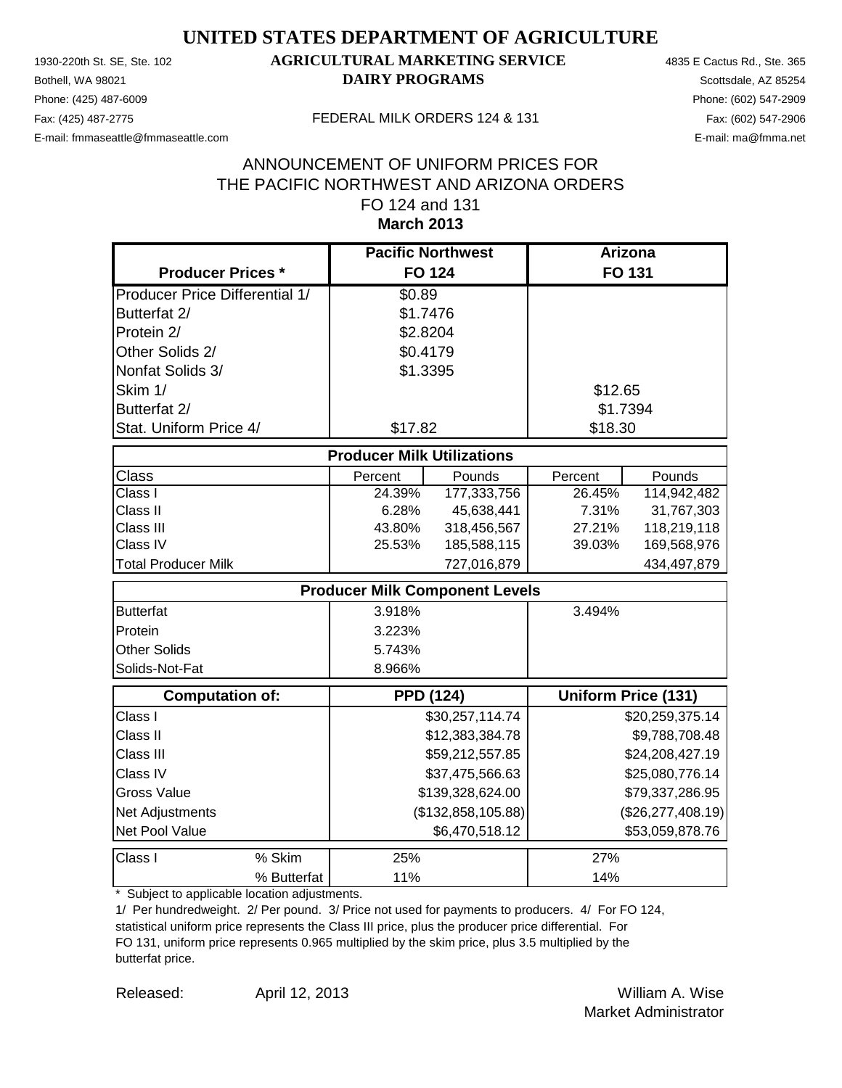Phone: (425) 487-6009 Phone: (602) 547-2909 E-mail: fmmaseattle@fmmaseattle.com E-mail: ma@fmma.net

### 1930-220th St. SE, Ste. 102 **AGRICULTURAL MARKETING SERVICE** 4835 E Cactus Rd., Ste. 365 **Bothell, WA 98021 DAIRY PROGRAMS** Scottsdale, AZ 85254

#### Fax: (425) 487-2775 FEDERAL MILK ORDERS 124 & 131

#### **March 2013** ANNOUNCEMENT OF UNIFORM PRICES FOR THE PACIFIC NORTHWEST AND ARIZONA ORDERS FO 124 and 131

|                                       | <b>Pacific Northwest</b>              |                  | <b>Arizona</b> |                            |
|---------------------------------------|---------------------------------------|------------------|----------------|----------------------------|
| <b>Producer Prices *</b>              | <b>FO 124</b>                         |                  |                | <b>FO 131</b>              |
| <b>Producer Price Differential 1/</b> | \$0.89                                |                  |                |                            |
| Butterfat 2/                          | \$1.7476                              |                  |                |                            |
| Protein 2/                            | \$2.8204                              |                  |                |                            |
| Other Solids 2/                       | \$0.4179                              |                  |                |                            |
| Nonfat Solids 3/                      | \$1.3395                              |                  |                |                            |
| Skim 1/                               |                                       |                  | \$12.65        |                            |
| Butterfat 2/                          |                                       |                  | \$1.7394       |                            |
| Stat. Uniform Price 4/                | \$17.82                               |                  | \$18.30        |                            |
|                                       | <b>Producer Milk Utilizations</b>     |                  |                |                            |
| <b>Class</b>                          | Percent                               | Pounds           | Percent        | Pounds                     |
| Class I                               | 24.39%                                | 177,333,756      | 26.45%         | 114,942,482                |
| Class II                              | 6.28%                                 | 45,638,441       | 7.31%          | 31,767,303                 |
| Class III                             | 43.80%                                | 318,456,567      | 27.21%         | 118,219,118                |
| Class IV                              | 25.53%                                | 185,588,115      | 39.03%         | 169,568,976                |
| <b>Total Producer Milk</b>            |                                       | 727,016,879      |                | 434,497,879                |
|                                       | <b>Producer Milk Component Levels</b> |                  |                |                            |
| <b>Butterfat</b>                      | 3.918%                                |                  | 3.494%         |                            |
| Protein                               | 3.223%                                |                  |                |                            |
| <b>Other Solids</b>                   | 5.743%                                |                  |                |                            |
| Solids-Not-Fat                        | 8.966%                                |                  |                |                            |
| <b>Computation of:</b>                | <b>PPD (124)</b>                      |                  |                | <b>Uniform Price (131)</b> |
| Class I                               |                                       | \$30,257,114.74  |                | \$20,259,375.14            |
| Class II                              |                                       | \$12,383,384.78  |                | \$9,788,708.48             |
| Class III                             |                                       | \$59,212,557.85  |                | \$24,208,427.19            |
| Class IV                              |                                       | \$37,475,566.63  |                | \$25,080,776.14            |
| <b>Gross Value</b>                    |                                       | \$139,328,624.00 |                | \$79,337,286.95            |
| Net Adjustments                       | (\$132,858,105.88)                    |                  |                | (\$26, 277, 408.19)        |
| Net Pool Value                        |                                       | \$6,470,518.12   |                | \$53,059,878.76            |
| Class I<br>% Skim                     | 25%                                   |                  | 27%            |                            |
| % Butterfat                           | 11%                                   |                  | 14%            |                            |

\* Subject to applicable location adjustments.

1/ Per hundredweight. 2/ Per pound. 3/ Price not used for payments to producers. 4/ For FO 124, statistical uniform price represents the Class III price, plus the producer price differential. For FO 131, uniform price represents 0.965 multiplied by the skim price, plus 3.5 multiplied by the butterfat price.

Released: William A. Wise April 12, 2013 Market Administrator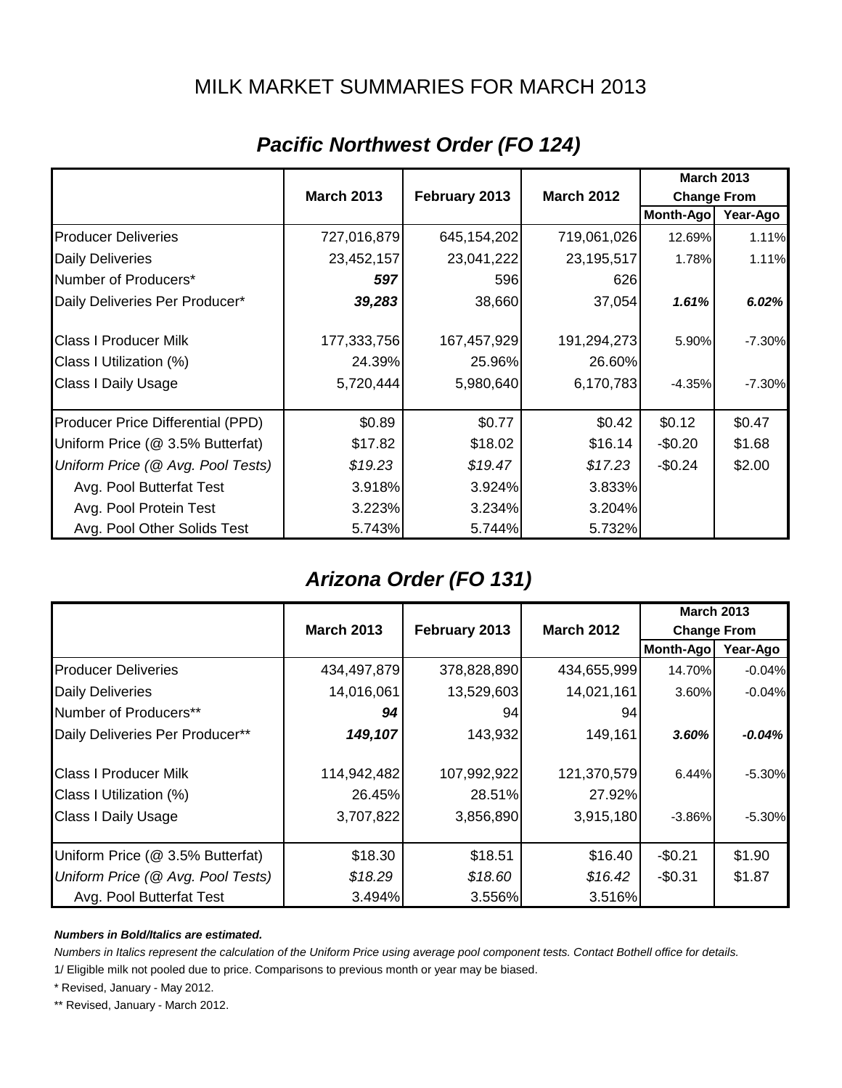### MILK MARKET SUMMARIES FOR MARCH 2013

|                                   |                   |               |                   | <b>March 2013</b>  |          |
|-----------------------------------|-------------------|---------------|-------------------|--------------------|----------|
|                                   | <b>March 2013</b> | February 2013 | <b>March 2012</b> | <b>Change From</b> |          |
|                                   |                   |               |                   | Month-Ago          | Year-Ago |
| <b>Producer Deliveries</b>        | 727,016,879       | 645,154,202   | 719,061,026       | 12.69%             | 1.11%    |
| <b>Daily Deliveries</b>           | 23,452,157        | 23,041,222    | 23,195,517        | 1.78%              | 1.11%    |
| Number of Producers*              | 597               | 596           | 626               |                    |          |
| Daily Deliveries Per Producer*    | 39,283            | 38,660        | 37,054            | 1.61%              | 6.02%    |
| <b>Class I Producer Milk</b>      | 177,333,756       | 167,457,929   | 191,294,273       | 5.90%              | $-7.30%$ |
| Class I Utilization (%)           | 24.39%            | 25.96%        | 26.60%            |                    |          |
| Class I Daily Usage               | 5,720,444         | 5,980,640     | 6,170,783         | $-4.35%$           | $-7.30%$ |
| Producer Price Differential (PPD) | \$0.89            | \$0.77        | \$0.42            | \$0.12             | \$0.47   |
| Uniform Price (@ 3.5% Butterfat)  | \$17.82           | \$18.02       | \$16.14           | $-$0.20$           | \$1.68   |
| Uniform Price (@ Avg. Pool Tests) | \$19.23           | \$19.47       | \$17.23           | $-$0.24$           | \$2.00   |
| Avg. Pool Butterfat Test          | 3.918%            | 3.924%        | 3.833%            |                    |          |
| Avg. Pool Protein Test            | 3.223%            | 3.234%        | 3.204%            |                    |          |
| Avg. Pool Other Solids Test       | 5.743%            | 5.744%        | 5.732%            |                    |          |

# *Pacific Northwest Order (FO 124)*

## *Arizona Order (FO 131)*

|                                   |                   |               |                   | <b>March 2013</b>  |           |
|-----------------------------------|-------------------|---------------|-------------------|--------------------|-----------|
|                                   | <b>March 2013</b> | February 2013 | <b>March 2012</b> | <b>Change From</b> |           |
|                                   |                   |               |                   | Month-Ago          | Year-Ago  |
| <b>Producer Deliveries</b>        | 434,497,879       | 378,828,890   | 434,655,999       | 14.70%             | $-0.04%$  |
| <b>Daily Deliveries</b>           | 14,016,061        | 13,529,603    | 14,021,161        | 3.60%              | $-0.04%$  |
| Number of Producers**             | 94                | 94            | 94                |                    |           |
| Daily Deliveries Per Producer**   | 149,107           | 143,932       | 149,161           | 3.60%              | $-0.04\%$ |
| <b>Class I Producer Milk</b>      | 114,942,482       | 107,992,922   | 121,370,579       | 6.44%              | $-5.30%$  |
| Class I Utilization (%)           | 26.45%            | 28.51%        | 27.92%            |                    |           |
| <b>Class I Daily Usage</b>        | 3,707,822         | 3,856,890     | 3,915,180         | $-3.86%$           | $-5.30\%$ |
| Uniform Price (@ 3.5% Butterfat)  | \$18.30           | \$18.51       | \$16.40           | $-$0.21$           | \$1.90    |
| Uniform Price (@ Avg. Pool Tests) | \$18.29           | \$18.60       | \$16.42           | $-$0.31$           | \$1.87    |
| Avg. Pool Butterfat Test          | 3.494%            | 3.556%        | 3.516%            |                    |           |

#### *Numbers in Bold/Italics are estimated.*

*Numbers in Italics represent the calculation of the Uniform Price using average pool component tests. Contact Bothell office for details.*

1/ Eligible milk not pooled due to price. Comparisons to previous month or year may be biased.

\* Revised, January - May 2012.

\*\* Revised, January - March 2012.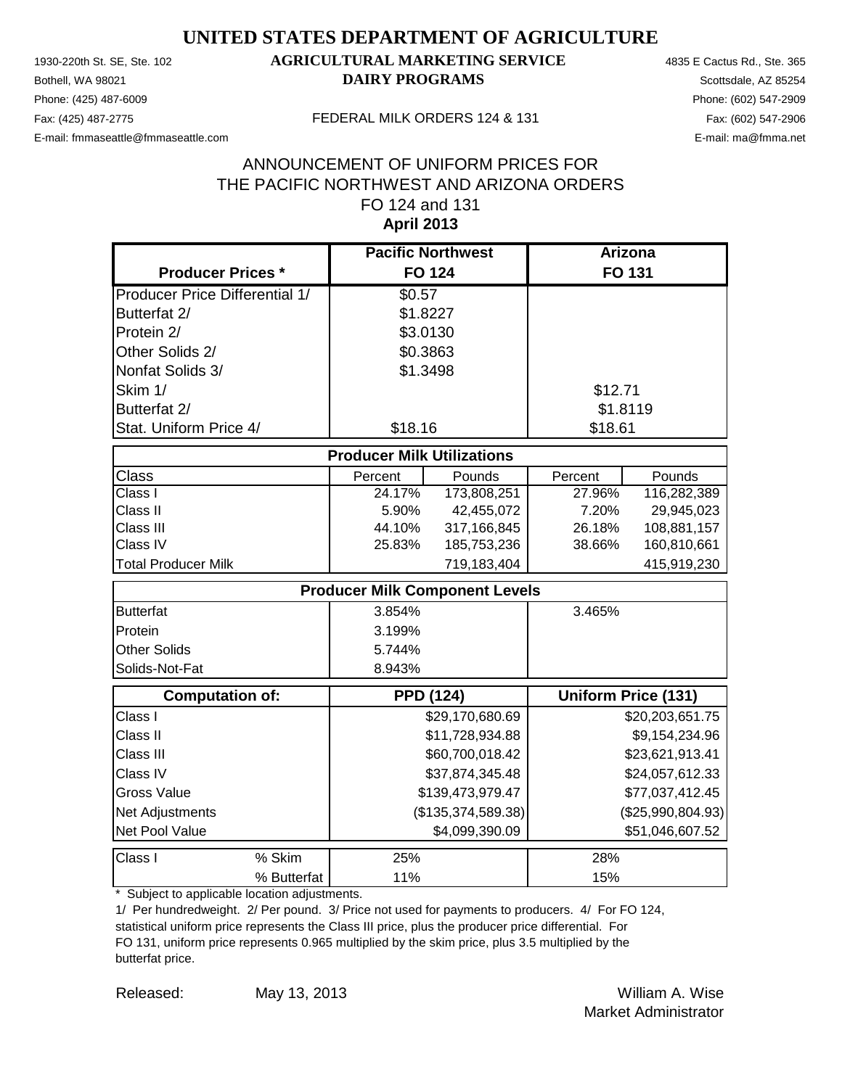Phone: (425) 487-6009 Phone: (602) 547-2909 E-mail: fmmaseattle@fmmaseattle.com E-mail: ma@fmma.net

### 1930-220th St. SE, Ste. 102 **AGRICULTURAL MARKETING SERVICE** 4835 E Cactus Rd., Ste. 365 **Bothell, WA 98021 DAIRY PROGRAMS** Scottsdale, AZ 85254

#### Fax: (425) 487-2775 FEDERAL MILK ORDERS 124 & 131

#### **April 2013** ANNOUNCEMENT OF UNIFORM PRICES FOR THE PACIFIC NORTHWEST AND ARIZONA ORDERS FO 124 and 131

|                                       |             | <b>Pacific Northwest</b>              |                  | <b>Arizona</b> |                            |
|---------------------------------------|-------------|---------------------------------------|------------------|----------------|----------------------------|
| <b>Producer Prices *</b>              |             | <b>FO 124</b>                         |                  |                | FO 131                     |
| <b>Producer Price Differential 1/</b> |             | \$0.57                                |                  |                |                            |
| Butterfat 2/                          |             | \$1.8227                              |                  |                |                            |
| Protein 2/                            |             | \$3.0130                              |                  |                |                            |
| Other Solids 2/                       |             | \$0.3863                              |                  |                |                            |
| Nonfat Solids 3/                      |             | \$1.3498                              |                  |                |                            |
| Skim 1/                               |             |                                       |                  | \$12.71        |                            |
| Butterfat 2/                          |             |                                       |                  | \$1.8119       |                            |
| Stat. Uniform Price 4/                |             | \$18.16                               |                  | \$18.61        |                            |
|                                       |             | <b>Producer Milk Utilizations</b>     |                  |                |                            |
| Class                                 |             | Percent                               | Pounds           | Percent        | Pounds                     |
| Class I                               |             | 24.17%                                | 173,808,251      | 27.96%         | 116,282,389                |
| Class II                              |             | 5.90%                                 | 42,455,072       | 7.20%          | 29,945,023                 |
| Class III                             |             | 44.10%                                | 317,166,845      | 26.18%         | 108,881,157                |
| Class IV                              |             | 25.83%                                | 185,753,236      | 38.66%         | 160,810,661                |
| <b>Total Producer Milk</b>            |             |                                       | 719,183,404      |                | 415,919,230                |
|                                       |             | <b>Producer Milk Component Levels</b> |                  |                |                            |
| <b>Butterfat</b>                      |             | 3.854%                                |                  | 3.465%         |                            |
| Protein                               |             | 3.199%                                |                  |                |                            |
| Other Solids                          |             | 5.744%                                |                  |                |                            |
| Solids-Not-Fat                        |             | 8.943%                                |                  |                |                            |
| <b>Computation of:</b>                |             | <b>PPD (124)</b>                      |                  |                | <b>Uniform Price (131)</b> |
| Class I                               |             |                                       | \$29,170,680.69  |                | \$20,203,651.75            |
| Class II                              |             |                                       | \$11,728,934.88  |                | \$9,154,234.96             |
| Class III                             |             |                                       | \$60,700,018.42  |                | \$23,621,913.41            |
| Class IV                              |             | \$37,874,345.48                       |                  |                | \$24,057,612.33            |
| <b>Gross Value</b>                    |             |                                       | \$139,473,979.47 |                | \$77,037,412.45            |
| Net Adjustments                       |             | (\$135,374,589.38)                    |                  |                | (\$25,990,804.93)          |
| Net Pool Value                        |             |                                       | \$4,099,390.09   |                | \$51,046,607.52            |
| Class I                               | % Skim      | 25%                                   |                  | 28%            |                            |
|                                       | % Butterfat | 11%                                   |                  | 15%            |                            |

\* Subject to applicable location adjustments.

1/ Per hundredweight. 2/ Per pound. 3/ Price not used for payments to producers. 4/ For FO 124, statistical uniform price represents the Class III price, plus the producer price differential. For FO 131, uniform price represents 0.965 multiplied by the skim price, plus 3.5 multiplied by the butterfat price.

Released: William A. Wise May 13, 2013 Market Administrator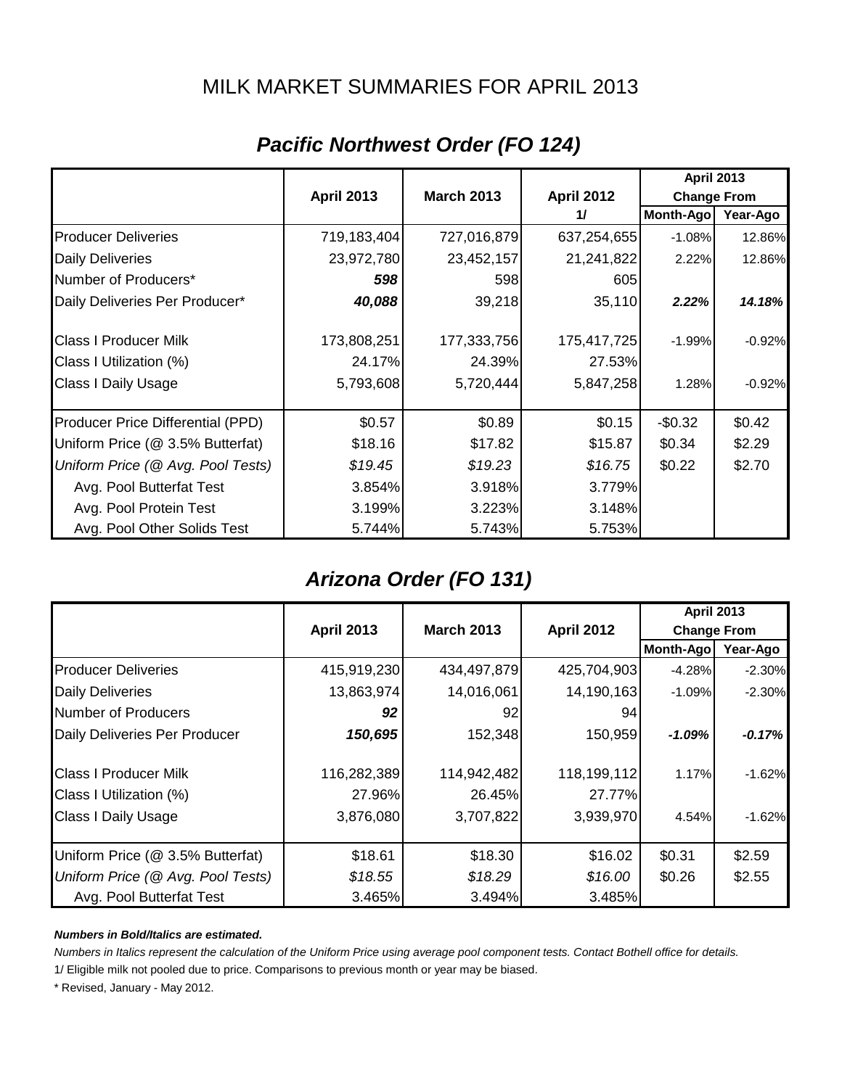### MILK MARKET SUMMARIES FOR APRIL 2013

|                                   |                   |                   |                   | <b>April 2013</b>  |          |
|-----------------------------------|-------------------|-------------------|-------------------|--------------------|----------|
|                                   | <b>April 2013</b> | <b>March 2013</b> | <b>April 2012</b> | <b>Change From</b> |          |
|                                   |                   |                   | 11                | <b>Month-Ago</b>   | Year-Ago |
| <b>Producer Deliveries</b>        | 719,183,404       | 727,016,879       | 637,254,655       | $-1.08%$           | 12.86%   |
| <b>Daily Deliveries</b>           | 23,972,780        | 23,452,157        | 21,241,822        | 2.22%              | 12.86%   |
| Number of Producers*              | 598               | 598               | 605               |                    |          |
| Daily Deliveries Per Producer*    | 40,088            | 39,218            | 35,110            | 2.22%              | 14.18%   |
| <b>Class I Producer Milk</b>      | 173,808,251       | 177,333,756       | 175,417,725       | $-1.99%$           | $-0.92%$ |
| Class I Utilization (%)           | 24.17%            | 24.39%            | 27.53%            |                    |          |
| <b>Class I Daily Usage</b>        | 5,793,608         | 5,720,444         | 5,847,258         | 1.28%              | $-0.92%$ |
| Producer Price Differential (PPD) | \$0.57            | \$0.89            | \$0.15            | $-$0.32$           | \$0.42   |
| Uniform Price (@ 3.5% Butterfat)  | \$18.16           | \$17.82           | \$15.87           | \$0.34             | \$2.29   |
| Uniform Price (@ Avg. Pool Tests) | \$19.45           | \$19.23           | \$16.75           | \$0.22             | \$2.70   |
| Avg. Pool Butterfat Test          | 3.854%            | 3.918%            | 3.779%            |                    |          |
| Avg. Pool Protein Test            | 3.199%            | 3.223%            | 3.148%            |                    |          |
| Avg. Pool Other Solids Test       | 5.744%            | 5.743%            | 5.753%            |                    |          |

# *Pacific Northwest Order (FO 124)*

## *Arizona Order (FO 131)*

|                                   |                   |                   |                   | <b>April 2013</b>  |          |
|-----------------------------------|-------------------|-------------------|-------------------|--------------------|----------|
|                                   | <b>April 2013</b> | <b>March 2013</b> | <b>April 2012</b> | <b>Change From</b> |          |
|                                   |                   |                   |                   | Month-Ago          | Year-Ago |
| <b>Producer Deliveries</b>        | 415,919,230       | 434,497,879       | 425,704,903       | $-4.28%$           | $-2.30%$ |
| <b>Daily Deliveries</b>           | 13,863,974        | 14,016,061        | 14,190,163        | $-1.09%$           | $-2.30%$ |
| Number of Producers               | 92                | 92                | 94                |                    |          |
| Daily Deliveries Per Producer     | 150,695           | 152,348           | 150,959           | $-1.09%$           | $-0.17%$ |
| <b>Class I Producer Milk</b>      | 116,282,389       | 114,942,482       | 118,199,112       | 1.17%              | $-1.62%$ |
| Class I Utilization (%)           | 27.96%            | 26.45%            | 27.77%            |                    |          |
| <b>Class I Daily Usage</b>        | 3,876,080         | 3,707,822         | 3,939,970         | 4.54%              | $-1.62%$ |
| Uniform Price (@ 3.5% Butterfat)  | \$18.61           | \$18.30           | \$16.02           | \$0.31             | \$2.59   |
| Uniform Price (@ Avg. Pool Tests) | \$18.55           | \$18.29           | \$16.00           | \$0.26             | \$2.55   |
| Avg. Pool Butterfat Test          | 3.465%            | 3.494%            | 3.485%            |                    |          |

#### *Numbers in Bold/Italics are estimated.*

*Numbers in Italics represent the calculation of the Uniform Price using average pool component tests. Contact Bothell office for details.*

1/ Eligible milk not pooled due to price. Comparisons to previous month or year may be biased.

\* Revised, January - May 2012.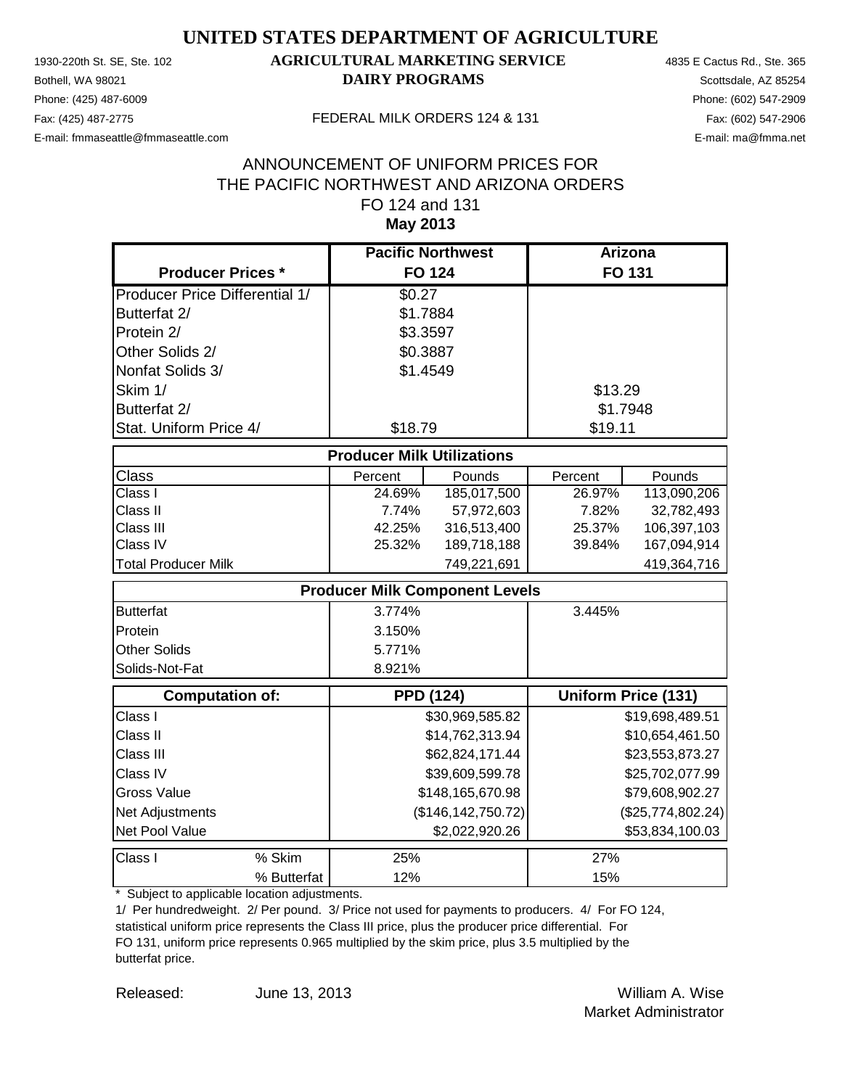Phone: (425) 487-6009 Phone: (602) 547-2909 E-mail: fmmaseattle@fmmaseattle.com E-mail: ma@fmma.net

### 1930-220th St. SE, Ste. 102 **AGRICULTURAL MARKETING SERVICE** 4835 E Cactus Rd., Ste. 365 **Bothell, WA 98021 DAIRY PROGRAMS** Scottsdale, AZ 85254

#### Fax: (425) 487-2775 FEDERAL MILK ORDERS 124 & 131

#### **May 2013** ANNOUNCEMENT OF UNIFORM PRICES FOR THE PACIFIC NORTHWEST AND ARIZONA ORDERS FO 124 and 131

|                                       | <b>Pacific Northwest</b>              |                      | <b>Arizona</b> |                            |
|---------------------------------------|---------------------------------------|----------------------|----------------|----------------------------|
| <b>Producer Prices *</b>              |                                       | <b>FO 124</b>        |                | FO 131                     |
| <b>Producer Price Differential 1/</b> | \$0.27                                |                      |                |                            |
| Butterfat 2/                          | \$1.7884                              |                      |                |                            |
| Protein 2/                            | \$3.3597                              |                      |                |                            |
| Other Solids 2/                       | \$0.3887                              |                      |                |                            |
| Nonfat Solids 3/                      | \$1.4549                              |                      |                |                            |
| Skim 1/                               |                                       |                      | \$13.29        |                            |
| Butterfat 2/                          |                                       |                      |                | \$1.7948                   |
| Stat. Uniform Price 4/                | \$18.79                               |                      | \$19.11        |                            |
|                                       | <b>Producer Milk Utilizations</b>     |                      |                |                            |
| Class                                 | Percent                               | Pounds               | Percent        | Pounds                     |
| Class I                               | 24.69%                                | 185,017,500          | 26.97%         | 113,090,206                |
| Class II                              | 7.74%                                 | 57,972,603           | 7.82%          | 32,782,493                 |
| Class III                             | 42.25%                                | 316,513,400          | 25.37%         | 106,397,103                |
| Class IV                              | 25.32%                                | 189,718,188          | 39.84%         | 167,094,914                |
| <b>Total Producer Milk</b>            |                                       | 749,221,691          |                | 419,364,716                |
|                                       | <b>Producer Milk Component Levels</b> |                      |                |                            |
| <b>Butterfat</b>                      | 3.774%                                |                      | 3.445%         |                            |
| Protein                               | 3.150%                                |                      |                |                            |
| Other Solids                          | 5.771%                                |                      |                |                            |
| Solids-Not-Fat                        | 8.921%                                |                      |                |                            |
| <b>Computation of:</b>                | <b>PPD (124)</b>                      |                      |                | <b>Uniform Price (131)</b> |
| Class I                               |                                       | \$30,969,585.82      |                | \$19,698,489.51            |
| Class II                              |                                       | \$14,762,313.94      |                | \$10,654,461.50            |
| Class III                             |                                       | \$62,824,171.44      |                | \$23,553,873.27            |
| Class IV                              |                                       | \$39,609,599.78      |                | \$25,702,077.99            |
| <b>Gross Value</b>                    |                                       | \$148,165,670.98     |                | \$79,608,902.27            |
| Net Adjustments                       |                                       | (\$146, 142, 750.72) |                | (\$25,774,802.24)          |
| Net Pool Value                        |                                       | \$2,022,920.26       |                | \$53,834,100.03            |
| % Skim<br>Class I                     | 25%                                   |                      | 27%            |                            |
| % Butterfat                           | 12%                                   |                      | 15%            |                            |

\* Subject to applicable location adjustments.

1/ Per hundredweight. 2/ Per pound. 3/ Price not used for payments to producers. 4/ For FO 124, statistical uniform price represents the Class III price, plus the producer price differential. For FO 131, uniform price represents 0.965 multiplied by the skim price, plus 3.5 multiplied by the butterfat price.

Released: William A. Wise June 13, 2013 Market Administrator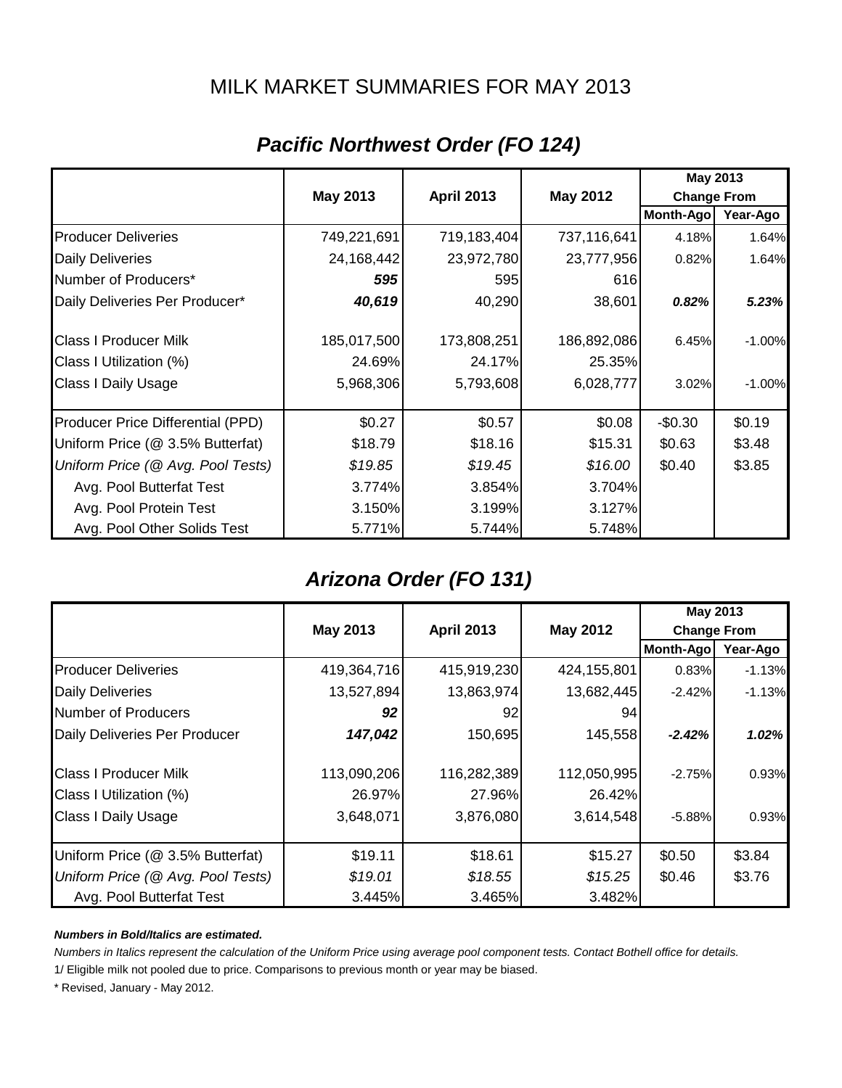## MILK MARKET SUMMARIES FOR MAY 2013

|                                   |                 |                   |                 | May 2013           |          |
|-----------------------------------|-----------------|-------------------|-----------------|--------------------|----------|
|                                   | <b>May 2013</b> | <b>April 2013</b> | <b>May 2012</b> | <b>Change From</b> |          |
|                                   |                 |                   |                 | Month-Ago          | Year-Ago |
| <b>Producer Deliveries</b>        | 749,221,691     | 719,183,404       | 737,116,641     | 4.18%              | 1.64%    |
| <b>Daily Deliveries</b>           | 24,168,442      | 23,972,780        | 23,777,956      | 0.82%              | 1.64%    |
| Number of Producers*              | 595             | 595               | 616             |                    |          |
| Daily Deliveries Per Producer*    | 40,619          | 40,290            | 38,601          | 0.82%              | 5.23%    |
| <b>Class I Producer Milk</b>      | 185,017,500     | 173,808,251       | 186,892,086     | 6.45%              | $-1.00%$ |
| Class I Utilization (%)           | 24.69%          | 24.17%            | 25.35%          |                    |          |
| <b>Class I Daily Usage</b>        | 5,968,306       | 5,793,608         | 6,028,777       | 3.02%              | $-1.00%$ |
| Producer Price Differential (PPD) | \$0.27          | \$0.57            | \$0.08          | $-$0.30$           | \$0.19   |
| Uniform Price (@ 3.5% Butterfat)  | \$18.79         | \$18.16           | \$15.31         | \$0.63             | \$3.48   |
| Uniform Price (@ Avg. Pool Tests) | \$19.85         | \$19.45           | \$16.00         | \$0.40             | \$3.85   |
| Avg. Pool Butterfat Test          | 3.774%          | 3.854%            | 3.704%          |                    |          |
| Avg. Pool Protein Test            | 3.150%          | 3.199%            | 3.127%          |                    |          |
| Avg. Pool Other Solids Test       | 5.771%          | 5.744%            | 5.748%          |                    |          |

# *Pacific Northwest Order (FO 124)*

# *Arizona Order (FO 131)*

|                                   |                                                  |             |             | May 2013           |          |
|-----------------------------------|--------------------------------------------------|-------------|-------------|--------------------|----------|
|                                   | May 2013<br><b>April 2013</b><br><b>May 2012</b> |             |             | <b>Change From</b> |          |
|                                   |                                                  |             |             | Month-Ago          | Year-Ago |
| <b>Producer Deliveries</b>        | 419,364,716                                      | 415,919,230 | 424,155,801 | 0.83%              | $-1.13%$ |
| <b>Daily Deliveries</b>           | 13,527,894                                       | 13,863,974  | 13,682,445  | $-2.42\%$          | $-1.13%$ |
| Number of Producers               | 92                                               | 92          | 94          |                    |          |
| Daily Deliveries Per Producer     | 147,042                                          | 150,695     | 145,558     | $-2.42%$           | $1.02\%$ |
| <b>Class I Producer Milk</b>      | 113,090,206                                      | 116,282,389 | 112,050,995 | $-2.75%$           | 0.93%    |
| Class I Utilization (%)           | 26.97%                                           | 27.96%      | 26.42%      |                    |          |
| <b>Class I Daily Usage</b>        | 3,648,071                                        | 3,876,080   | 3,614,548   | $-5.88%$           | 0.93%    |
| Uniform Price (@ 3.5% Butterfat)  | \$19.11                                          | \$18.61     | \$15.27     | \$0.50             | \$3.84   |
| Uniform Price (@ Avg. Pool Tests) | \$19.01                                          | \$18.55     | \$15.25     | \$0.46             | \$3.76   |
| Avg. Pool Butterfat Test          | 3.445%                                           | 3.465%      | 3.482%      |                    |          |

#### *Numbers in Bold/Italics are estimated.*

*Numbers in Italics represent the calculation of the Uniform Price using average pool component tests. Contact Bothell office for details.*

1/ Eligible milk not pooled due to price. Comparisons to previous month or year may be biased.

\* Revised, January - May 2012.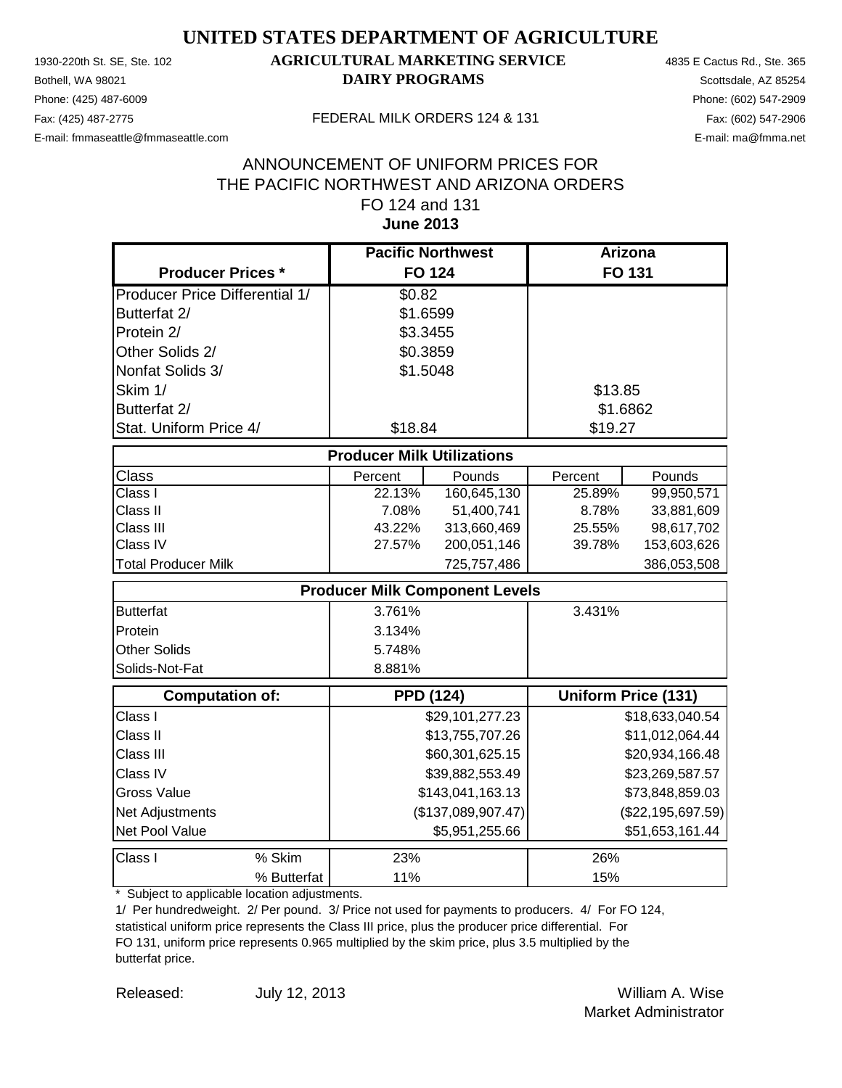Phone: (425) 487-6009 Phone: (602) 547-2909 E-mail: fmmaseattle@fmmaseattle.com E-mail: ma@fmma.net

### 1930-220th St. SE, Ste. 102 **AGRICULTURAL MARKETING SERVICE** 4835 E Cactus Rd., Ste. 365 **Bothell, WA 98021 DAIRY PROGRAMS** Scottsdale, AZ 85254

#### Fax: (425) 487-2775 FEDERAL MILK ORDERS 124 & 131

#### **June 2013** ANNOUNCEMENT OF UNIFORM PRICES FOR THE PACIFIC NORTHWEST AND ARIZONA ORDERS FO 124 and 131

|                                       | <b>Pacific Northwest</b>              |                    | Arizona         |                            |
|---------------------------------------|---------------------------------------|--------------------|-----------------|----------------------------|
| <b>Producer Prices *</b>              |                                       | <b>FO 124</b>      |                 | <b>FO 131</b>              |
| <b>Producer Price Differential 1/</b> | \$0.82                                |                    |                 |                            |
| Butterfat 2/                          | \$1.6599                              |                    |                 |                            |
| Protein 2/                            | \$3.3455                              |                    |                 |                            |
| Other Solids 2/                       | \$0.3859                              |                    |                 |                            |
| Nonfat Solids 3/                      | \$1.5048                              |                    |                 |                            |
| Skim 1/                               |                                       |                    | \$13.85         |                            |
| Butterfat 2/                          |                                       |                    |                 | \$1.6862                   |
| Stat. Uniform Price 4/                | \$18.84                               |                    | \$19.27         |                            |
|                                       | <b>Producer Milk Utilizations</b>     |                    |                 |                            |
| Class                                 | Percent                               | Pounds             | Percent         | Pounds                     |
| Class I                               | 22.13%                                | 160,645,130        | 25.89%          | 99,950,571                 |
| Class II                              | 7.08%                                 | 51,400,741         | 8.78%           | 33,881,609                 |
| Class III                             | 43.22%                                | 313,660,469        | 25.55%          | 98,617,702                 |
| Class IV                              | 27.57%                                | 200,051,146        | 39.78%          | 153,603,626                |
| <b>Total Producer Milk</b>            |                                       | 725,757,486        |                 | 386,053,508                |
|                                       | <b>Producer Milk Component Levels</b> |                    |                 |                            |
| <b>Butterfat</b>                      | 3.761%                                |                    | 3.431%          |                            |
| Protein                               | 3.134%                                |                    |                 |                            |
| Other Solids                          | 5.748%                                |                    |                 |                            |
| Solids-Not-Fat                        | 8.881%                                |                    |                 |                            |
| <b>Computation of:</b>                |                                       | <b>PPD (124)</b>   |                 | <b>Uniform Price (131)</b> |
| Class I                               |                                       | \$29,101,277.23    |                 | \$18,633,040.54            |
| Class II                              |                                       | \$13,755,707.26    |                 | \$11,012,064.44            |
| Class III                             |                                       | \$60,301,625.15    |                 | \$20,934,166.48            |
| Class IV                              |                                       | \$39,882,553.49    | \$23,269,587.57 |                            |
| <b>Gross Value</b>                    |                                       | \$143,041,163.13   |                 | \$73,848,859.03            |
| Net Adjustments                       |                                       | (\$137,089,907.47) |                 | $(\$22, 195, 697.59)$      |
| Net Pool Value                        |                                       | \$5,951,255.66     |                 | \$51,653,161.44            |
| % Skim<br>Class I                     | 23%                                   |                    | 26%             |                            |
| % Butterfat                           | 11%                                   |                    | 15%             |                            |

\* Subject to applicable location adjustments.

1/ Per hundredweight. 2/ Per pound. 3/ Price not used for payments to producers. 4/ For FO 124, statistical uniform price represents the Class III price, plus the producer price differential. For FO 131, uniform price represents 0.965 multiplied by the skim price, plus 3.5 multiplied by the butterfat price.

Released: William A. Wise July 12, 2013

Market Administrator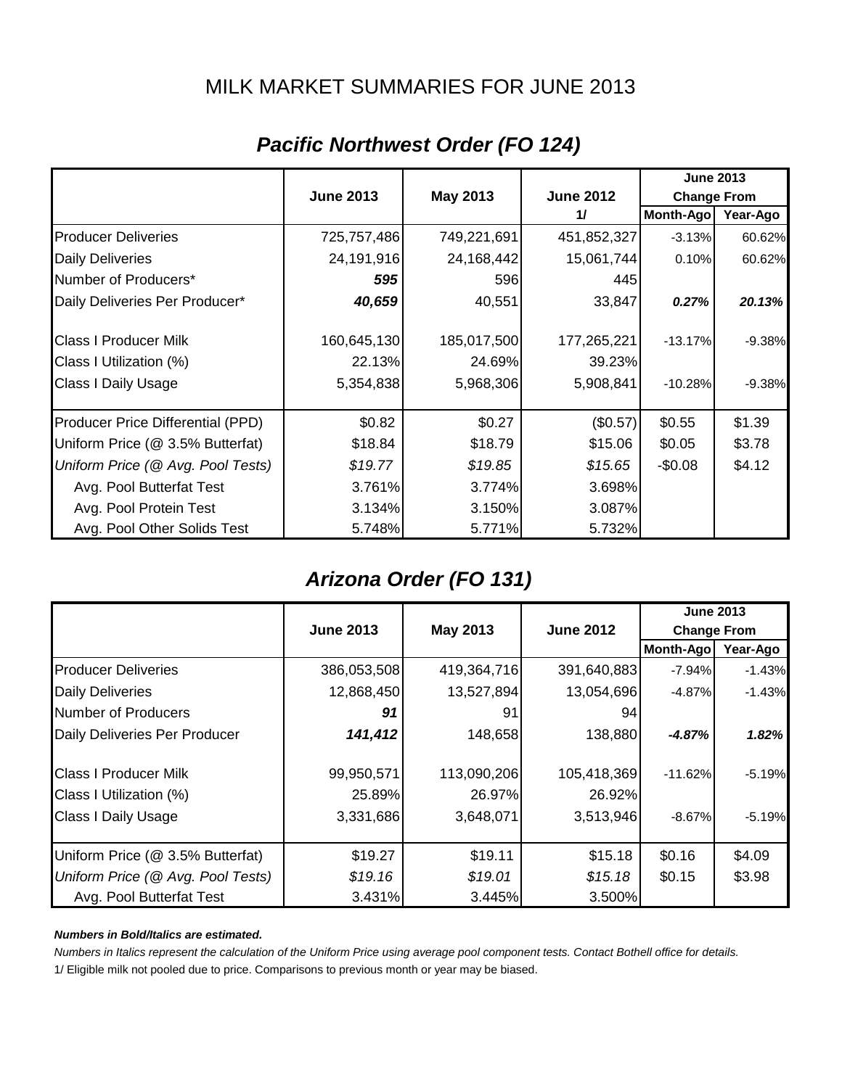### MILK MARKET SUMMARIES FOR JUNE 2013

|                                   |                  |             |                  | <b>June 2013</b>   |          |
|-----------------------------------|------------------|-------------|------------------|--------------------|----------|
|                                   | <b>June 2013</b> | May 2013    | <b>June 2012</b> | <b>Change From</b> |          |
|                                   |                  |             | 11               | Month-Ago          | Year-Ago |
| <b>Producer Deliveries</b>        | 725,757,486      | 749,221,691 | 451,852,327      | $-3.13%$           | 60.62%   |
| <b>Daily Deliveries</b>           | 24,191,916       | 24,168,442  | 15,061,744       | 0.10%              | 60.62%   |
| Number of Producers*              | 595              | 596         | 445              |                    |          |
| Daily Deliveries Per Producer*    | 40,659           | 40,551      | 33,847           | 0.27%              | 20.13%   |
| <b>Class I Producer Milk</b>      | 160,645,130      | 185,017,500 | 177,265,221      | $-13.17%$          | $-9.38%$ |
| Class I Utilization (%)           | 22.13%           | 24.69%      | 39.23%           |                    |          |
| <b>Class I Daily Usage</b>        | 5,354,838        | 5,968,306   | 5,908,841        | $-10.28%$          | $-9.38%$ |
| Producer Price Differential (PPD) | \$0.82           | \$0.27      | (\$0.57)         | \$0.55             | \$1.39   |
| Uniform Price (@ 3.5% Butterfat)  | \$18.84          | \$18.79     | \$15.06          | \$0.05             | \$3.78   |
| Uniform Price (@ Avg. Pool Tests) | \$19.77          | \$19.85     | \$15.65          | $-$0.08$           | \$4.12   |
| Avg. Pool Butterfat Test          | 3.761%           | 3.774%      | 3.698%           |                    |          |
| Avg. Pool Protein Test            | 3.134%           | 3.150%      | 3.087%           |                    |          |
| Avg. Pool Other Solids Test       | 5.748%           | 5.771%      | 5.732%           |                    |          |

# *Pacific Northwest Order (FO 124)*

## *Arizona Order (FO 131)*

|                                   |                  |                              |             |                    | <b>June 2013</b> |
|-----------------------------------|------------------|------------------------------|-------------|--------------------|------------------|
|                                   | <b>June 2013</b> | May 2013<br><b>June 2012</b> |             | <b>Change From</b> |                  |
|                                   |                  |                              |             | Month-Ago          | Year-Ago         |
| <b>Producer Deliveries</b>        | 386,053,508      | 419,364,716                  | 391,640,883 | $-7.94\%$          | $-1.43%$         |
| <b>Daily Deliveries</b>           | 12,868,450       | 13,527,894                   | 13,054,696  | $-4.87%$           | $-1.43%$         |
| Number of Producers               | 91               | 91                           | 94          |                    |                  |
| Daily Deliveries Per Producer     | 141,412          | 148,658                      | 138,880     | $-4.87%$           | 1.82%            |
| <b>Class I Producer Milk</b>      | 99,950,571       | 113,090,206                  | 105,418,369 | $-11.62%$          | $-5.19%$         |
| Class I Utilization (%)           | 25.89%           | 26.97%                       | 26.92%      |                    |                  |
| <b>Class I Daily Usage</b>        | 3,331,686        | 3,648,071                    | 3,513,946   | $-8.67%$           | $-5.19%$         |
| Uniform Price (@ 3.5% Butterfat)  | \$19.27          | \$19.11                      | \$15.18     | \$0.16             | \$4.09           |
| Uniform Price (@ Avg. Pool Tests) | \$19.16          | \$19.01                      | \$15.18     | \$0.15             | \$3.98           |
| Avg. Pool Butterfat Test          | 3.431%           | 3.445%                       | 3.500%      |                    |                  |

#### *Numbers in Bold/Italics are estimated.*

*Numbers in Italics represent the calculation of the Uniform Price using average pool component tests. Contact Bothell office for details.*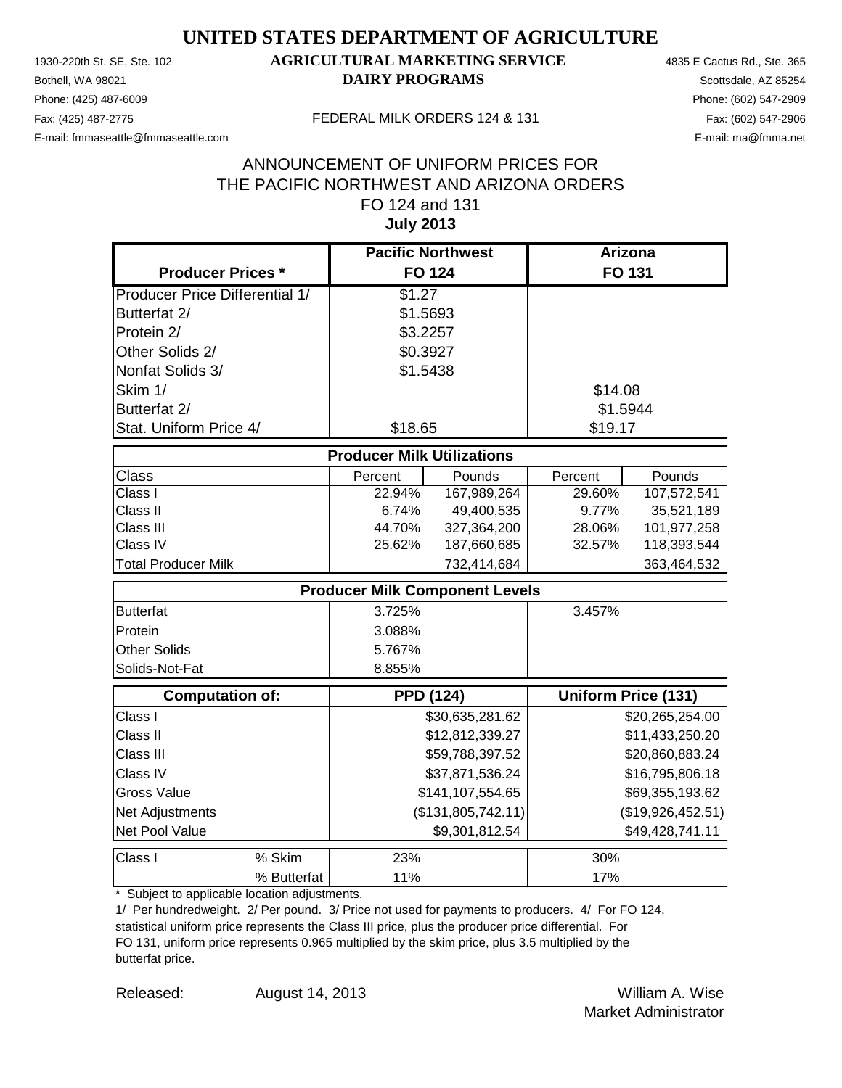Phone: (425) 487-6009 Phone: (602) 547-2909 E-mail: fmmaseattle@fmmaseattle.com E-mail: ma@fmma.net

### 1930-220th St. SE, Ste. 102 **AGRICULTURAL MARKETING SERVICE** 4835 E Cactus Rd., Ste. 365 **Bothell, WA 98021 DAIRY PROGRAMS** Scottsdale, AZ 85254

#### Fax: (425) 487-2775 FEDERAL MILK ORDERS 124 & 131

### **July 2013** ANNOUNCEMENT OF UNIFORM PRICES FOR THE PACIFIC NORTHWEST AND ARIZONA ORDERS FO 124 and 131

|                                       | <b>Pacific Northwest</b>              |                    | <b>Arizona</b> |                            |
|---------------------------------------|---------------------------------------|--------------------|----------------|----------------------------|
| <b>Producer Prices *</b>              | <b>FO 124</b>                         |                    |                | <b>FO 131</b>              |
| <b>Producer Price Differential 1/</b> | \$1.27                                |                    |                |                            |
| Butterfat 2/                          | \$1.5693                              |                    |                |                            |
| Protein 2/                            | \$3.2257                              |                    |                |                            |
| Other Solids 2/                       | \$0.3927                              |                    |                |                            |
| Nonfat Solids 3/                      | \$1.5438                              |                    |                |                            |
| Skim 1/                               |                                       |                    | \$14.08        |                            |
| Butterfat 2/                          |                                       |                    |                | \$1.5944                   |
| Stat. Uniform Price 4/                | \$18.65                               |                    | \$19.17        |                            |
|                                       | <b>Producer Milk Utilizations</b>     |                    |                |                            |
| Class                                 | Percent                               | Pounds             | Percent        | Pounds                     |
| Class I                               | $22.94\%$                             | 167,989,264        | 29.60%         | 107,572,541                |
| Class II                              | 6.74%                                 | 49,400,535         | 9.77%          | 35,521,189                 |
| Class III                             | 44.70%                                | 327,364,200        | 28.06%         | 101,977,258                |
| Class IV                              | 25.62%                                | 187,660,685        | 32.57%         | 118,393,544                |
| <b>Total Producer Milk</b>            |                                       | 732,414,684        |                | 363,464,532                |
|                                       | <b>Producer Milk Component Levels</b> |                    |                |                            |
| <b>Butterfat</b>                      | 3.725%                                |                    | 3.457%         |                            |
| Protein                               | 3.088%                                |                    |                |                            |
| Other Solids                          | 5.767%                                |                    |                |                            |
| Solids-Not-Fat                        | 8.855%                                |                    |                |                            |
| <b>Computation of:</b>                | <b>PPD (124)</b>                      |                    |                | <b>Uniform Price (131)</b> |
| Class I                               |                                       | \$30,635,281.62    |                | \$20,265,254.00            |
| Class II                              |                                       | \$12,812,339.27    |                | \$11,433,250.20            |
| Class III                             |                                       | \$59,788,397.52    |                | \$20,860,883.24            |
| Class IV                              |                                       | \$37,871,536.24    |                | \$16,795,806.18            |
| <b>Gross Value</b>                    |                                       | \$141,107,554.65   |                | \$69,355,193.62            |
| Net Adjustments                       |                                       | (\$131,805,742.11) |                | (\$19,926,452.51)          |
| Net Pool Value                        |                                       | \$9,301,812.54     |                | \$49,428,741.11            |
| % Skim<br>Class I                     | 23%                                   |                    | 30%            |                            |
| % Butterfat                           | 11%                                   |                    | 17%            |                            |

\* Subject to applicable location adjustments.

1/ Per hundredweight. 2/ Per pound. 3/ Price not used for payments to producers. 4/ For FO 124, statistical uniform price represents the Class III price, plus the producer price differential. For FO 131, uniform price represents 0.965 multiplied by the skim price, plus 3.5 multiplied by the butterfat price.

Released: William A. Wise August 14, 2013 Market Administrator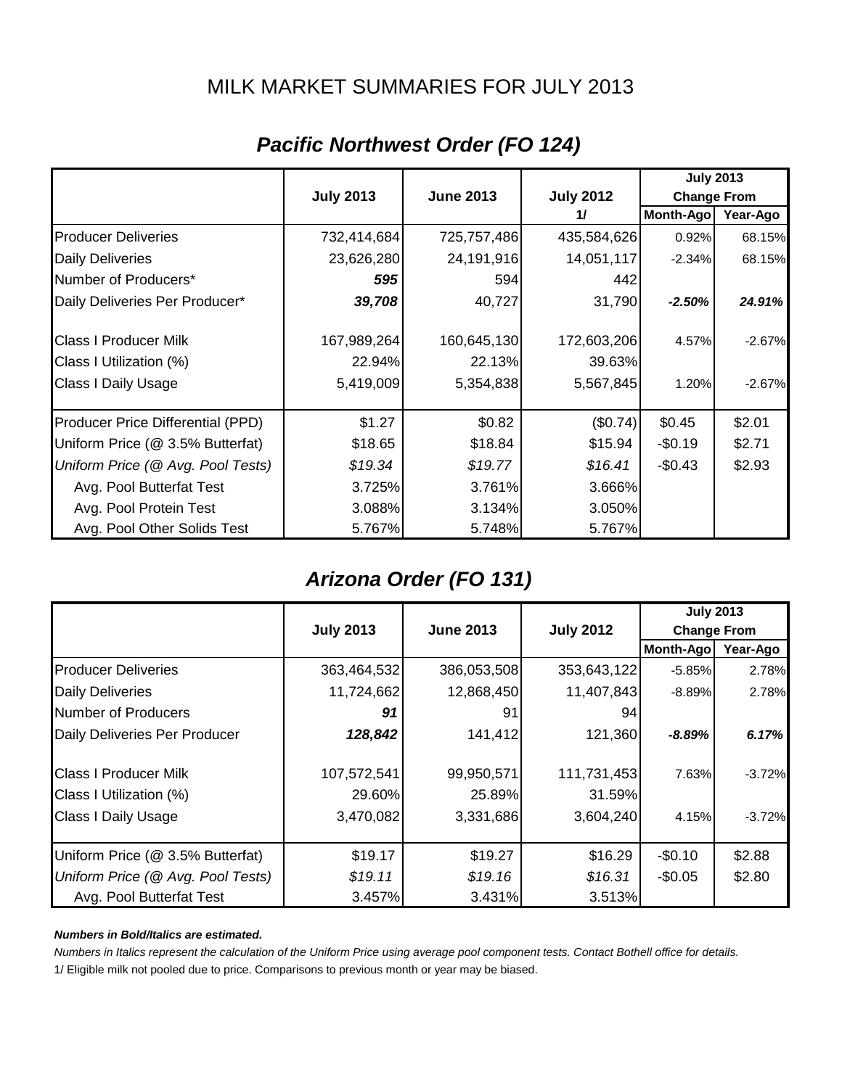### MILK MARKET SUMMARIES FOR JULY 2013

|                                   |                  |                  |                  | <b>July 2013</b>   |          |
|-----------------------------------|------------------|------------------|------------------|--------------------|----------|
|                                   | <b>July 2013</b> | <b>June 2013</b> | <b>July 2012</b> | <b>Change From</b> |          |
|                                   |                  |                  | 11               | <b>Month-Ago</b>   | Year-Ago |
| <b>Producer Deliveries</b>        | 732,414,684      | 725,757,486      | 435,584,626      | 0.92%              | 68.15%   |
| <b>Daily Deliveries</b>           | 23,626,280       | 24,191,916       | 14,051,117       | $-2.34%$           | 68.15%   |
| Number of Producers*              | 595              | 594              | 442              |                    |          |
| Daily Deliveries Per Producer*    | 39,708           | 40,727           | 31,790           | $-2.50%$           | 24.91%   |
| <b>Class I Producer Milk</b>      | 167,989,264      | 160,645,130      | 172,603,206      | 4.57%              | $-2.67%$ |
| Class I Utilization (%)           | 22.94%           | 22.13%           | 39.63%           |                    |          |
| <b>Class I Daily Usage</b>        | 5,419,009        | 5,354,838        | 5,567,845        | 1.20%              | $-2.67%$ |
| Producer Price Differential (PPD) | \$1.27           | \$0.82           | (\$0.74)         | \$0.45             | \$2.01   |
| Uniform Price (@ 3.5% Butterfat)  | \$18.65          | \$18.84          | \$15.94          | $-$0.19$           | \$2.71   |
| Uniform Price (@ Avg. Pool Tests) | \$19.34          | \$19.77          | \$16.41          | $-$0.43$           | \$2.93   |
| Avg. Pool Butterfat Test          | 3.725%           | 3.761%           | 3.666%           |                    |          |
| Avg. Pool Protein Test            | 3.088%           | 3.134%           | 3.050%           |                    |          |
| Avg. Pool Other Solids Test       | 5.767%           | 5.748%           | 5.767%           |                    |          |

# *Pacific Northwest Order (FO 124)*

## *Arizona Order (FO 131)*

|                                   |                                                                                |             |             | <b>July 2013</b> |          |
|-----------------------------------|--------------------------------------------------------------------------------|-------------|-------------|------------------|----------|
|                                   | <b>July 2013</b><br><b>July 2012</b><br><b>June 2013</b><br><b>Change From</b> |             |             |                  |          |
|                                   |                                                                                |             |             | Month-Ago        | Year-Ago |
| <b>Producer Deliveries</b>        | 363,464,532                                                                    | 386,053,508 | 353,643,122 | $-5.85%$         | 2.78%    |
| <b>Daily Deliveries</b>           | 11,724,662                                                                     | 12,868,450  | 11,407,843  | $-8.89%$         | 2.78%    |
| Number of Producers               | 91                                                                             | 91          | 94          |                  |          |
| Daily Deliveries Per Producer     | 128,842                                                                        | 141,412     | 121,360     | $-8.89%$         | 6.17%    |
| <b>Class I Producer Milk</b>      | 107,572,541                                                                    | 99,950,571  | 111,731,453 | 7.63%            | $-3.72%$ |
| Class I Utilization (%)           | 29.60%                                                                         | 25.89%      | 31.59%      |                  |          |
| <b>Class I Daily Usage</b>        | 3,470,082                                                                      | 3,331,686   | 3,604,240   | 4.15%            | $-3.72%$ |
| Uniform Price (@ 3.5% Butterfat)  | \$19.17                                                                        | \$19.27     | \$16.29     | $-$0.10$         | \$2.88   |
| Uniform Price (@ Avg. Pool Tests) | \$19.11                                                                        | \$19.16     | \$16.31     | $-$0.05$         | \$2.80   |
| Avg. Pool Butterfat Test          | 3.457%                                                                         | 3.431%      | 3.513%      |                  |          |

#### *Numbers in Bold/Italics are estimated.*

*Numbers in Italics represent the calculation of the Uniform Price using average pool component tests. Contact Bothell office for details.*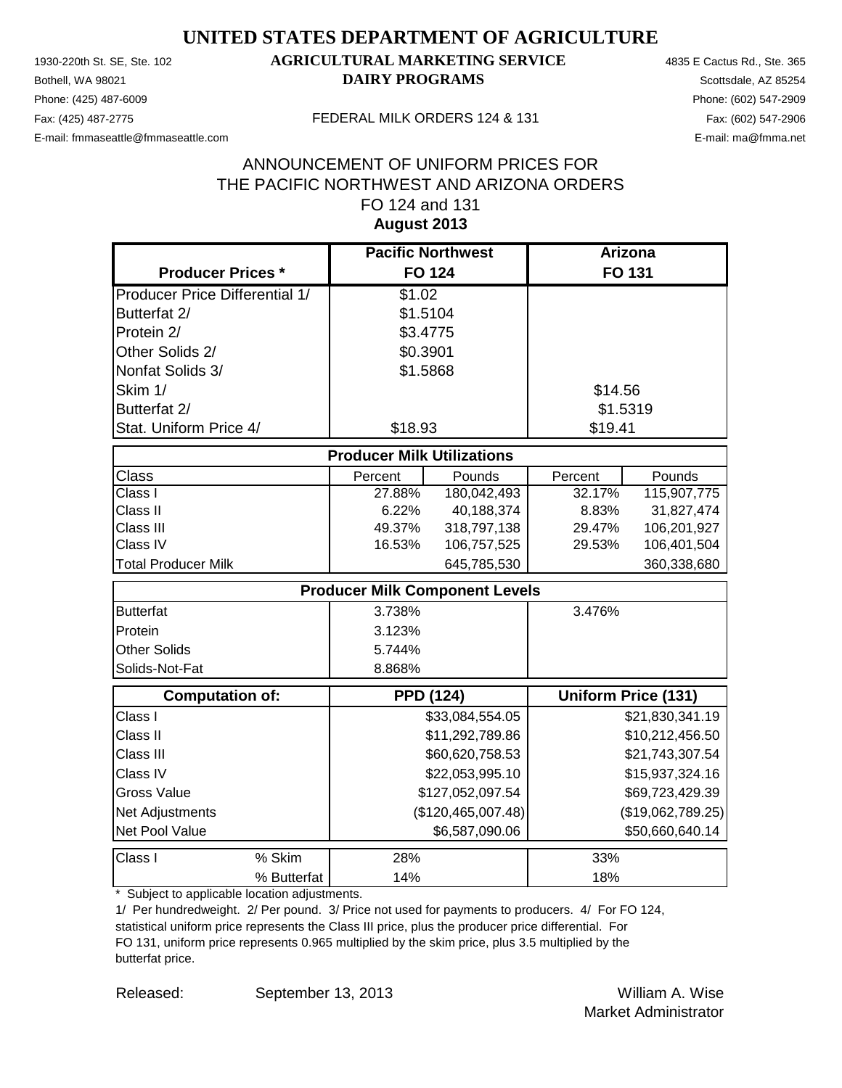Phone: (425) 487-6009 Phone: (602) 547-2909 E-mail: fmmaseattle@fmmaseattle.com E-mail: ma@fmma.net

### 1930-220th St. SE, Ste. 102 **AGRICULTURAL MARKETING SERVICE** 4835 E Cactus Rd., Ste. 365 **Bothell, WA 98021 DAIRY PROGRAMS** Scottsdale, AZ 85254

#### Fax: (425) 487-2775 FEDERAL MILK ORDERS 124 & 131

### **August 2013** ANNOUNCEMENT OF UNIFORM PRICES FOR THE PACIFIC NORTHWEST AND ARIZONA ORDERS FO 124 and 131

|                                       | <b>Pacific Northwest</b>              |                    | <b>Arizona</b> |                            |
|---------------------------------------|---------------------------------------|--------------------|----------------|----------------------------|
| <b>Producer Prices *</b>              | <b>FO 124</b>                         |                    |                | FO 131                     |
| <b>Producer Price Differential 1/</b> | \$1.02                                |                    |                |                            |
| Butterfat 2/                          | \$1.5104                              |                    |                |                            |
| Protein 2/                            | \$3.4775                              |                    |                |                            |
| Other Solids 2/                       | \$0.3901                              |                    |                |                            |
| Nonfat Solids 3/                      | \$1.5868                              |                    |                |                            |
| Skim 1/                               |                                       |                    | \$14.56        |                            |
| Butterfat 2/                          |                                       |                    | \$1.5319       |                            |
| Stat. Uniform Price 4/                | \$18.93                               |                    | \$19.41        |                            |
|                                       | <b>Producer Milk Utilizations</b>     |                    |                |                            |
| <b>Class</b>                          | Percent                               | Pounds             | Percent        | Pounds                     |
| Class I                               | 27.88%                                | 180,042,493        | 32.17%         | 115,907,775                |
| Class II                              | 6.22%                                 | 40,188,374         | 8.83%          | 31,827,474                 |
| Class III                             | 49.37%                                | 318,797,138        | 29.47%         | 106,201,927                |
| Class IV                              | 16.53%                                | 106,757,525        | 29.53%         | 106,401,504                |
| <b>Total Producer Milk</b>            |                                       | 645,785,530        |                | 360,338,680                |
|                                       | <b>Producer Milk Component Levels</b> |                    |                |                            |
| <b>Butterfat</b>                      | 3.738%                                |                    | 3.476%         |                            |
| Protein                               | 3.123%                                |                    |                |                            |
| <b>Other Solids</b>                   | 5.744%                                |                    |                |                            |
| Solids-Not-Fat                        | 8.868%                                |                    |                |                            |
| <b>Computation of:</b>                | <b>PPD (124)</b>                      |                    |                | <b>Uniform Price (131)</b> |
| Class I                               |                                       | \$33,084,554.05    |                | \$21,830,341.19            |
| Class II                              |                                       | \$11,292,789.86    |                | \$10,212,456.50            |
| Class III                             |                                       | \$60,620,758.53    |                | \$21,743,307.54            |
| Class IV                              |                                       | \$22,053,995.10    |                | \$15,937,324.16            |
| <b>Gross Value</b>                    |                                       | \$127,052,097.54   |                | \$69,723,429.39            |
| Net Adjustments                       |                                       | (\$120,465,007.48) |                | (\$19,062,789.25)          |
| Net Pool Value                        |                                       | \$6,587,090.06     |                | \$50,660,640.14            |
| % Skim<br>Class I                     | 28%                                   |                    | 33%            |                            |
| % Butterfat                           | 14%                                   |                    | 18%            |                            |

\* Subject to applicable location adjustments.

1/ Per hundredweight. 2/ Per pound. 3/ Price not used for payments to producers. 4/ For FO 124, statistical uniform price represents the Class III price, plus the producer price differential. For FO 131, uniform price represents 0.965 multiplied by the skim price, plus 3.5 multiplied by the butterfat price.

Released: William A. Wise September 13, 2013 Market Administrator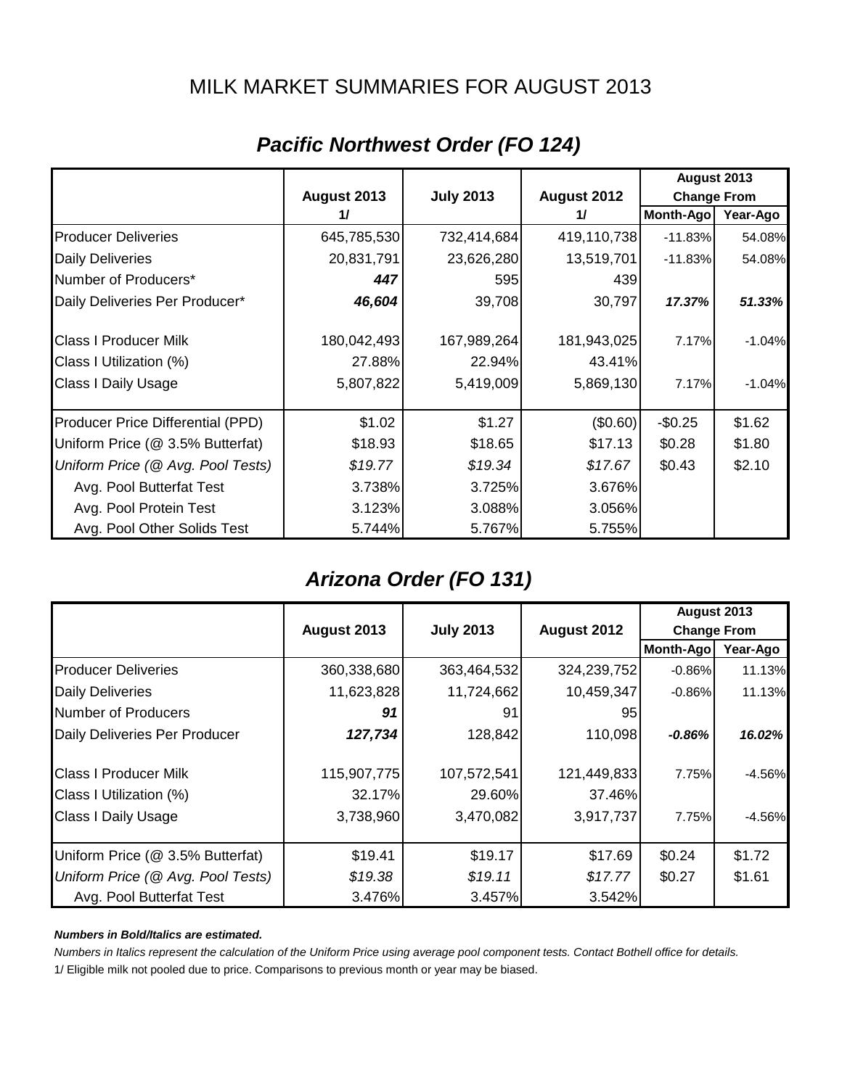### MILK MARKET SUMMARIES FOR AUGUST 2013

|                                   |             |                  |             | August 2013        |          |
|-----------------------------------|-------------|------------------|-------------|--------------------|----------|
|                                   | August 2013 | <b>July 2013</b> | August 2012 | <b>Change From</b> |          |
|                                   | 11          |                  | 11          | Month-Ago          | Year-Ago |
| <b>Producer Deliveries</b>        | 645,785,530 | 732,414,684      | 419,110,738 | $-11.83%$          | 54.08%   |
| <b>Daily Deliveries</b>           | 20,831,791  | 23,626,280       | 13,519,701  | $-11.83%$          | 54.08%   |
| Number of Producers*              | 447         | 595              | 439         |                    |          |
| Daily Deliveries Per Producer*    | 46,604      | 39,708           | 30,797      | 17.37%             | 51.33%   |
| <b>Class I Producer Milk</b>      | 180,042,493 | 167,989,264      | 181,943,025 | 7.17%              | $-1.04%$ |
| Class I Utilization (%)           | 27.88%      | 22.94%           | 43.41%      |                    |          |
| Class I Daily Usage               | 5,807,822   | 5,419,009        | 5,869,130   | 7.17%              | $-1.04%$ |
| Producer Price Differential (PPD) | \$1.02      | \$1.27           | (\$0.60)    | $-$0.25$           | \$1.62   |
| Uniform Price (@ 3.5% Butterfat)  | \$18.93     | \$18.65          | \$17.13     | \$0.28             | \$1.80   |
| Uniform Price (@ Avg. Pool Tests) | \$19.77     | \$19.34          | \$17.67     | \$0.43             | \$2.10   |
| Avg. Pool Butterfat Test          | 3.738%      | 3.725%           | 3.676%      |                    |          |
| Avg. Pool Protein Test            | 3.123%      | 3.088%           | 3.056%      |                    |          |
| Avg. Pool Other Solids Test       | 5.744%      | 5.767%           | 5.755%      |                    |          |

# *Pacific Northwest Order (FO 124)*

## *Arizona Order (FO 131)*

|                                   |             |                                 |             | August 2013        |          |
|-----------------------------------|-------------|---------------------------------|-------------|--------------------|----------|
|                                   | August 2013 | <b>July 2013</b><br>August 2012 |             | <b>Change From</b> |          |
|                                   |             |                                 |             | <b>Month-Ago</b>   | Year-Ago |
| <b>Producer Deliveries</b>        | 360,338,680 | 363,464,532                     | 324,239,752 | $-0.86%$           | 11.13%   |
| <b>Daily Deliveries</b>           | 11,623,828  | 11,724,662                      | 10,459,347  | $-0.86%$           | 11.13%   |
| Number of Producers               | 91          | 91                              | 95          |                    |          |
| Daily Deliveries Per Producer     | 127,734     | 128,842                         | 110,098     | $-0.86%$           | 16.02%   |
| <b>Class I Producer Milk</b>      | 115,907,775 | 107,572,541                     | 121,449,833 | 7.75%              | $-4.56%$ |
| Class I Utilization (%)           | 32.17%      | 29.60%                          | 37.46%      |                    |          |
| <b>Class I Daily Usage</b>        | 3,738,960   | 3,470,082                       | 3,917,737   | 7.75%              | -4.56%   |
| Uniform Price (@ 3.5% Butterfat)  | \$19.41     | \$19.17                         | \$17.69     | \$0.24             | \$1.72   |
| Uniform Price (@ Avg. Pool Tests) | \$19.38     | \$19.11                         | \$17.77     | \$0.27             | \$1.61   |
| Avg. Pool Butterfat Test          | 3.476%      | 3.457%                          | 3.542%      |                    |          |

#### *Numbers in Bold/Italics are estimated.*

*Numbers in Italics represent the calculation of the Uniform Price using average pool component tests. Contact Bothell office for details.*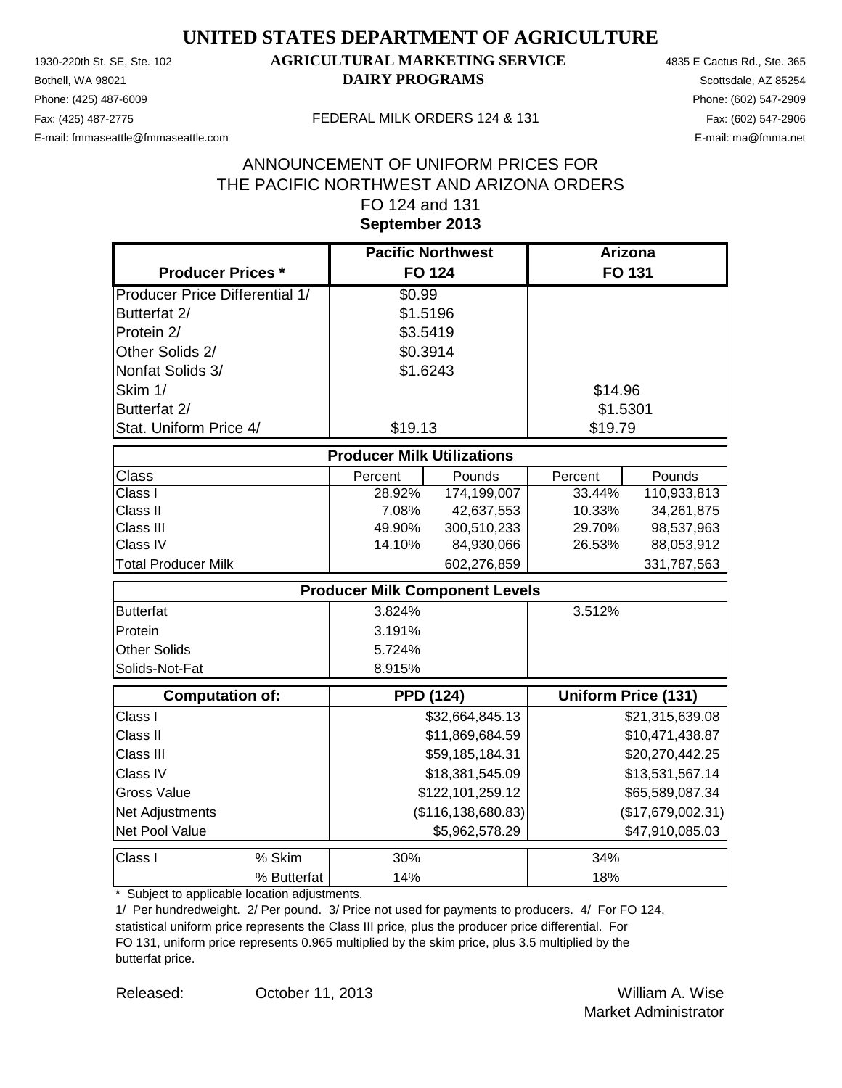Phone: (425) 487-6009 Phone: (602) 547-2909 E-mail: fmmaseattle@fmmaseattle.com E-mail: ma@fmma.net

### 1930-220th St. SE, Ste. 102 **AGRICULTURAL MARKETING SERVICE** 4835 E Cactus Rd., Ste. 365 **Bothell, WA 98021 DAIRY PROGRAMS** Scottsdale, AZ 85254

#### Fax: (425) 487-2775 FEDERAL MILK ORDERS 124 & 131

### **September 2013** ANNOUNCEMENT OF UNIFORM PRICES FOR THE PACIFIC NORTHWEST AND ARIZONA ORDERS FO 124 and 131

|                                       | <b>Pacific Northwest</b>              |                  | <b>Arizona</b> |                            |
|---------------------------------------|---------------------------------------|------------------|----------------|----------------------------|
| <b>Producer Prices *</b>              | <b>FO 124</b>                         |                  |                | <b>FO 131</b>              |
| <b>Producer Price Differential 1/</b> | \$0.99                                |                  |                |                            |
| Butterfat 2/                          | \$1.5196                              |                  |                |                            |
| Protein 2/                            | \$3.5419                              |                  |                |                            |
| Other Solids 2/                       | \$0.3914                              |                  |                |                            |
| Nonfat Solids 3/                      | \$1.6243                              |                  |                |                            |
| Skim 1/                               |                                       |                  | \$14.96        |                            |
| Butterfat 2/                          |                                       |                  | \$1.5301       |                            |
| Stat. Uniform Price 4/                | \$19.13                               |                  | \$19.79        |                            |
|                                       | <b>Producer Milk Utilizations</b>     |                  |                |                            |
| <b>Class</b>                          | Percent                               | Pounds           | Percent        | Pounds                     |
| $\overline{\text{Class}}$ I           | 28.92%                                | 174,199,007      | 33.44%         | 110,933,813                |
| Class II                              | 7.08%                                 | 42,637,553       | 10.33%         | 34,261,875                 |
| Class III                             | 49.90%                                | 300,510,233      | 29.70%         | 98,537,963                 |
| Class IV                              | 14.10%                                | 84,930,066       | 26.53%         | 88,053,912                 |
| <b>Total Producer Milk</b>            |                                       | 602,276,859      |                | 331,787,563                |
|                                       | <b>Producer Milk Component Levels</b> |                  |                |                            |
| <b>Butterfat</b>                      | 3.824%                                |                  | 3.512%         |                            |
| Protein                               | 3.191%                                |                  |                |                            |
| <b>Other Solids</b>                   | 5.724%                                |                  |                |                            |
| Solids-Not-Fat                        | 8.915%                                |                  |                |                            |
| <b>Computation of:</b>                | <b>PPD (124)</b>                      |                  |                | <b>Uniform Price (131)</b> |
| Class I                               |                                       | \$32,664,845.13  |                | \$21,315,639.08            |
| Class II                              |                                       | \$11,869,684.59  |                | \$10,471,438.87            |
| Class III                             |                                       | \$59,185,184.31  |                | \$20,270,442.25            |
| Class IV                              |                                       | \$18,381,545.09  |                | \$13,531,567.14            |
| <b>Gross Value</b>                    |                                       | \$122,101,259.12 |                | \$65,589,087.34            |
| Net Adjustments                       | (\$116, 138, 680.83)                  |                  |                | (\$17,679,002.31)          |
| Net Pool Value                        |                                       | \$5,962,578.29   |                | \$47,910,085.03            |
| Class I<br>% Skim                     | 30%                                   |                  | 34%            |                            |
| % Butterfat                           | 14%                                   |                  | 18%            |                            |

\* Subject to applicable location adjustments.

1/ Per hundredweight. 2/ Per pound. 3/ Price not used for payments to producers. 4/ For FO 124, statistical uniform price represents the Class III price, plus the producer price differential. For FO 131, uniform price represents 0.965 multiplied by the skim price, plus 3.5 multiplied by the butterfat price.

Released: William A. Wise October 11, 2013 Market Administrator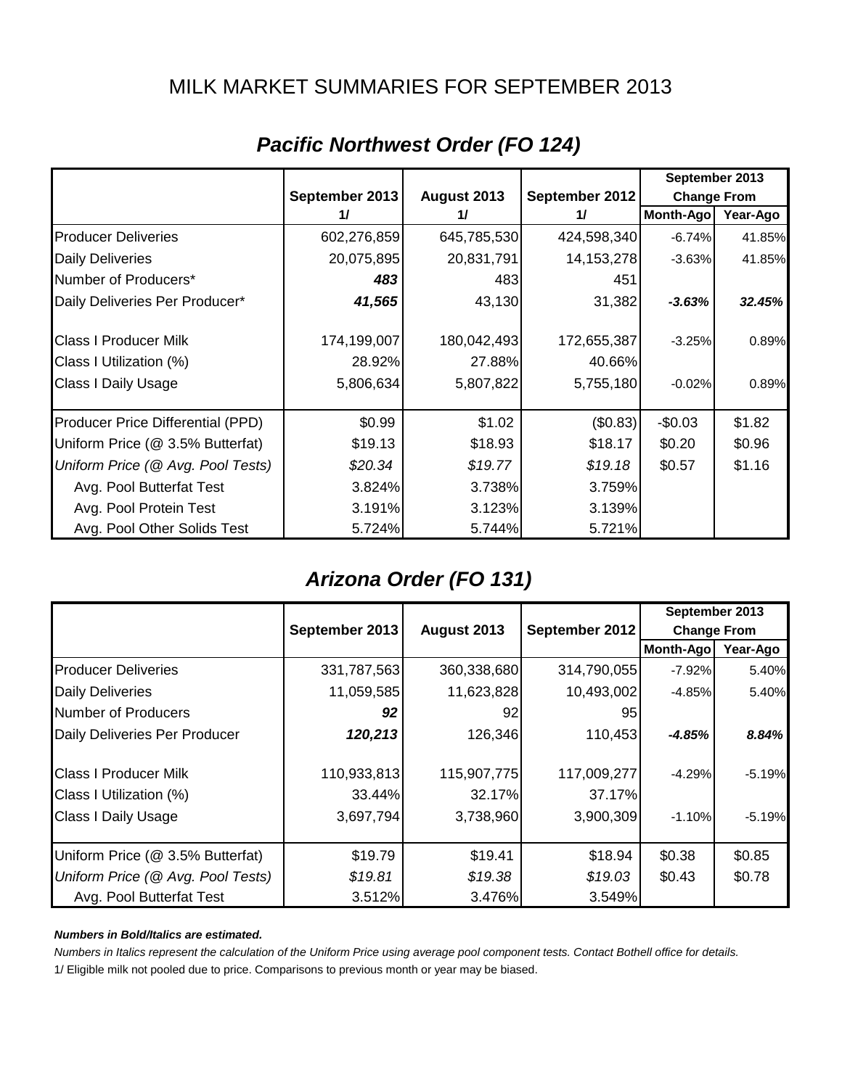### MILK MARKET SUMMARIES FOR SEPTEMBER 2013

|                                   |                | September 2013 |                |                    |          |
|-----------------------------------|----------------|----------------|----------------|--------------------|----------|
|                                   | September 2013 | August 2013    | September 2012 | <b>Change From</b> |          |
|                                   | 11             | 11             | 11             | Month-Ago          | Year-Ago |
| <b>Producer Deliveries</b>        | 602,276,859    | 645,785,530    | 424,598,340    | $-6.74%$           | 41.85%   |
| <b>Daily Deliveries</b>           | 20,075,895     | 20,831,791     | 14, 153, 278   | $-3.63%$           | 41.85%   |
| Number of Producers*              | 483            | 483            | 451            |                    |          |
| Daily Deliveries Per Producer*    | 41,565         | 43,130         | 31,382         | $-3.63%$           | 32.45%   |
| <b>Class I Producer Milk</b>      | 174,199,007    | 180,042,493    | 172,655,387    | $-3.25%$           | 0.89%    |
| Class I Utilization (%)           | 28.92%         | 27.88%         | 40.66%         |                    |          |
| Class I Daily Usage               | 5,806,634      | 5,807,822      | 5,755,180      | $-0.02%$           | 0.89%    |
| Producer Price Differential (PPD) | \$0.99         | \$1.02         | (\$0.83)       | $-$0.03$           | \$1.82   |
| Uniform Price (@ 3.5% Butterfat)  | \$19.13        | \$18.93        | \$18.17        | \$0.20             | \$0.96   |
| Uniform Price (@ Avg. Pool Tests) | \$20.34        | \$19.77        | \$19.18        | \$0.57             | \$1.16   |
| Avg. Pool Butterfat Test          | 3.824%         | 3.738%         | 3.759%         |                    |          |
| Avg. Pool Protein Test            | 3.191%         | 3.123%         | 3.139%         |                    |          |
| Avg. Pool Other Solids Test       | 5.724%         | 5.744%         | 5.721%         |                    |          |

# *Pacific Northwest Order (FO 124)*

## *Arizona Order (FO 131)*

|                                   |                |                               |             | September 2013     |          |
|-----------------------------------|----------------|-------------------------------|-------------|--------------------|----------|
|                                   | September 2013 | September 2012<br>August 2013 |             | <b>Change From</b> |          |
|                                   |                |                               |             | Month-Ago          | Year-Ago |
| <b>Producer Deliveries</b>        | 331,787,563    | 360,338,680                   | 314,790,055 | $-7.92%$           | 5.40%    |
| <b>Daily Deliveries</b>           | 11,059,585     | 11,623,828                    | 10,493,002  | $-4.85%$           | 5.40%    |
| Number of Producers               | 92             | 92                            | 95          |                    |          |
| Daily Deliveries Per Producer     | 120,213        | 126,346                       | 110,453     | $-4.85%$           | 8.84%    |
| <b>Class I Producer Milk</b>      | 110,933,813    | 115,907,775                   | 117,009,277 | $-4.29%$           | $-5.19%$ |
| Class I Utilization (%)           | 33.44%         | 32.17%                        | 37.17%      |                    |          |
| <b>Class I Daily Usage</b>        | 3,697,794      | 3,738,960                     | 3,900,309   | $-1.10%$           | $-5.19%$ |
| Uniform Price (@ 3.5% Butterfat)  | \$19.79        | \$19.41                       | \$18.94     | \$0.38             | \$0.85   |
| Uniform Price (@ Avg. Pool Tests) | \$19.81        | \$19.38                       | \$19.03     | \$0.43             | \$0.78   |
| Avg. Pool Butterfat Test          | 3.512%         | 3.476%                        | 3.549%      |                    |          |

#### *Numbers in Bold/Italics are estimated.*

*Numbers in Italics represent the calculation of the Uniform Price using average pool component tests. Contact Bothell office for details.*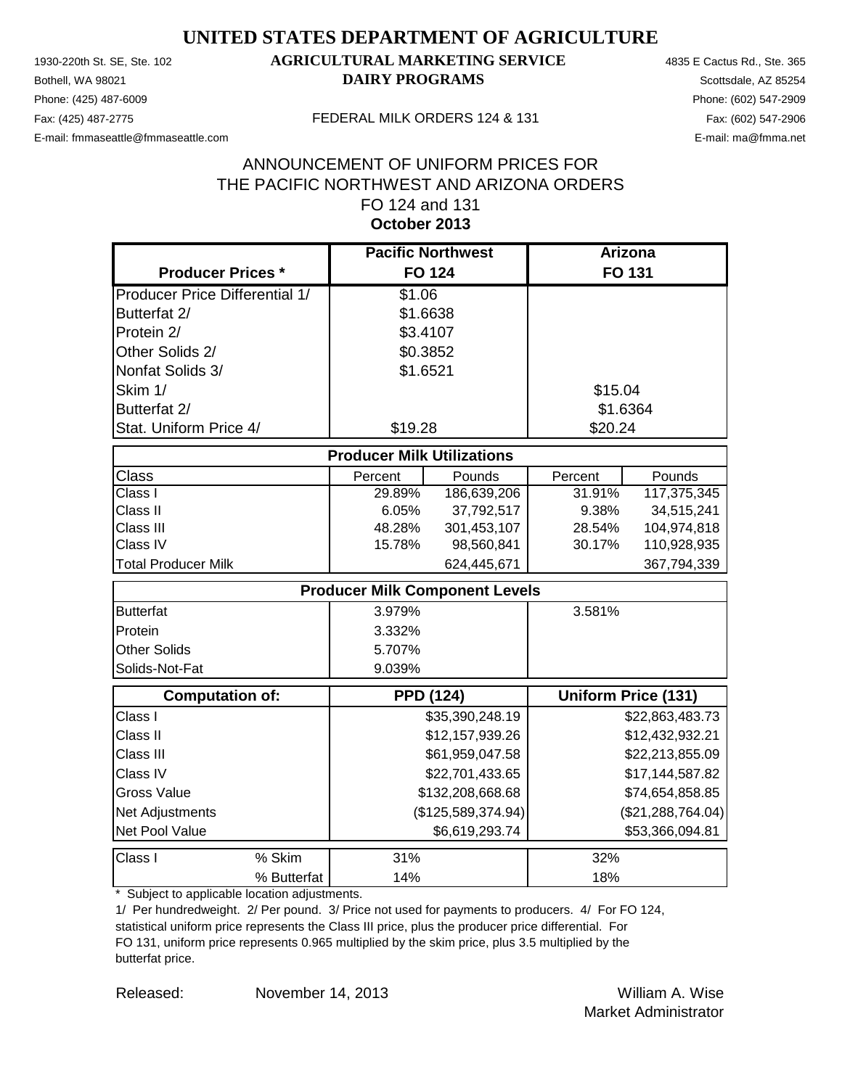Phone: (425) 487-6009 Phone: (602) 547-2909 E-mail: fmmaseattle@fmmaseattle.com E-mail: ma@fmma.net

### 1930-220th St. SE, Ste. 102 **AGRICULTURAL MARKETING SERVICE** 4835 E Cactus Rd., Ste. 365 **Bothell, WA 98021 DAIRY PROGRAMS** Scottsdale, AZ 85254

#### Fax: (425) 487-2775 FEDERAL MILK ORDERS 124 & 131

### **October 2013** ANNOUNCEMENT OF UNIFORM PRICES FOR THE PACIFIC NORTHWEST AND ARIZONA ORDERS FO 124 and 131

|                                       | <b>Pacific Northwest</b>              |                    | <b>Arizona</b> |                            |
|---------------------------------------|---------------------------------------|--------------------|----------------|----------------------------|
| <b>Producer Prices *</b>              |                                       | <b>FO 124</b>      |                | FO 131                     |
| <b>Producer Price Differential 1/</b> | \$1.06                                |                    |                |                            |
| Butterfat 2/                          | \$1.6638                              |                    |                |                            |
| Protein 2/                            | \$3.4107                              |                    |                |                            |
| Other Solids 2/                       | \$0.3852                              |                    |                |                            |
| Nonfat Solids 3/                      | \$1.6521                              |                    |                |                            |
| Skim 1/                               |                                       |                    | \$15.04        |                            |
| Butterfat 2/                          |                                       |                    | \$1.6364       |                            |
| Stat. Uniform Price 4/                | \$19.28                               |                    | \$20.24        |                            |
|                                       | <b>Producer Milk Utilizations</b>     |                    |                |                            |
| <b>Class</b>                          | Percent                               | Pounds             | Percent        | Pounds                     |
| Class I                               | 29.89%                                | 186,639,206        | 31.91%         | 117,375,345                |
| Class II                              | 6.05%                                 | 37,792,517         | 9.38%          | 34,515,241                 |
| Class III                             | 48.28%                                | 301,453,107        | 28.54%         | 104,974,818                |
| Class IV                              | 15.78%                                | 98,560,841         | 30.17%         | 110,928,935                |
| <b>Total Producer Milk</b>            |                                       | 624,445,671        |                | 367,794,339                |
|                                       | <b>Producer Milk Component Levels</b> |                    |                |                            |
| <b>Butterfat</b>                      | 3.979%                                |                    | 3.581%         |                            |
| Protein                               | 3.332%                                |                    |                |                            |
| <b>Other Solids</b>                   | 5.707%                                |                    |                |                            |
| Solids-Not-Fat                        | 9.039%                                |                    |                |                            |
| <b>Computation of:</b>                | <b>PPD (124)</b>                      |                    |                | <b>Uniform Price (131)</b> |
| Class I                               |                                       | \$35,390,248.19    |                | \$22,863,483.73            |
| Class II                              |                                       | \$12,157,939.26    |                | \$12,432,932.21            |
| Class III                             |                                       | \$61,959,047.58    |                | \$22,213,855.09            |
| Class IV                              |                                       | \$22,701,433.65    |                | \$17,144,587.82            |
| <b>Gross Value</b>                    |                                       | \$132,208,668.68   |                | \$74,654,858.85            |
| Net Adjustments                       |                                       | (\$125,589,374.94) |                | (\$21, 288, 764.04)        |
| Net Pool Value                        |                                       | \$6,619,293.74     |                | \$53,366,094.81            |
| % Skim<br>Class I                     | 31%                                   |                    | 32%            |                            |
| % Butterfat                           | 14%                                   |                    | 18%            |                            |

\* Subject to applicable location adjustments.

1/ Per hundredweight. 2/ Per pound. 3/ Price not used for payments to producers. 4/ For FO 124, statistical uniform price represents the Class III price, plus the producer price differential. For FO 131, uniform price represents 0.965 multiplied by the skim price, plus 3.5 multiplied by the butterfat price.

Released: William A. Wise November 14, 2013 Market Administrator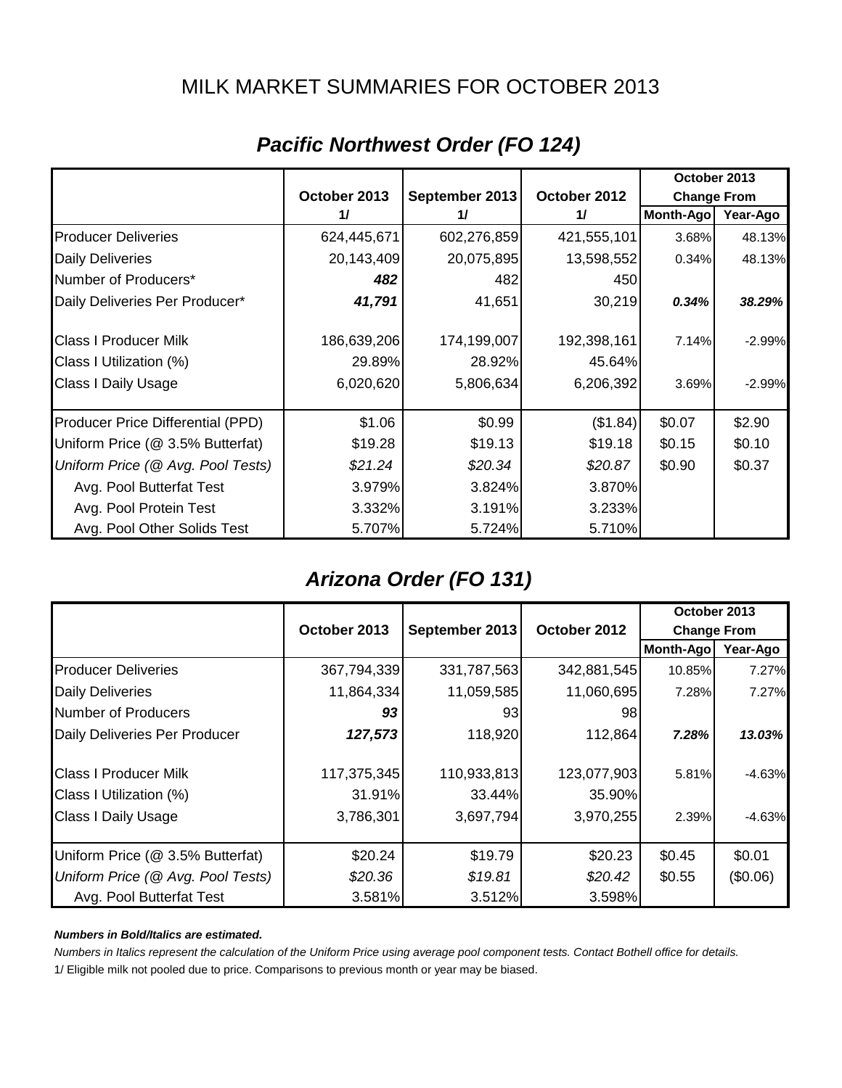## MILK MARKET SUMMARIES FOR OCTOBER 2013

|                                   |              |                |              | October 2013       |          |
|-----------------------------------|--------------|----------------|--------------|--------------------|----------|
|                                   | October 2013 | September 2013 | October 2012 | <b>Change From</b> |          |
|                                   | 11           | 11             | 11           | Month-Ago          | Year-Ago |
| <b>Producer Deliveries</b>        | 624,445,671  | 602,276,859    | 421,555,101  | 3.68%              | 48.13%   |
| <b>Daily Deliveries</b>           | 20,143,409   | 20,075,895     | 13,598,552   | 0.34%              | 48.13%   |
| Number of Producers*              | 482          | 482            | 450          |                    |          |
| Daily Deliveries Per Producer*    | 41,791       | 41,651         | 30,219       | 0.34%              | 38.29%   |
| <b>Class I Producer Milk</b>      | 186,639,206  | 174,199,007    | 192,398,161  | 7.14%              | $-2.99%$ |
| Class I Utilization (%)           | 29.89%       | 28.92%         | 45.64%       |                    |          |
| <b>Class I Daily Usage</b>        | 6,020,620    | 5,806,634      | 6,206,392    | 3.69%              | $-2.99%$ |
| Producer Price Differential (PPD) | \$1.06       | \$0.99         | (\$1.84)     | \$0.07             | \$2.90   |
| Uniform Price (@ 3.5% Butterfat)  | \$19.28      | \$19.13        | \$19.18      | \$0.15             | \$0.10   |
| Uniform Price (@ Avg. Pool Tests) | \$21.24      | \$20.34        | \$20.87      | \$0.90             | \$0.37   |
| Avg. Pool Butterfat Test          | 3.979%       | 3.824%         | 3.870%       |                    |          |
| Avg. Pool Protein Test            | 3.332%       | 3.191%         | 3.233%       |                    |          |
| Avg. Pool Other Solids Test       | 5.707%       | 5.724%         | 5.710%       |                    |          |

# *Pacific Northwest Order (FO 124)*

## *Arizona Order (FO 131)*

|                                   |                                                |             |                    | October 2013 |          |
|-----------------------------------|------------------------------------------------|-------------|--------------------|--------------|----------|
|                                   | October 2012<br>October 2013<br>September 2013 |             | <b>Change From</b> |              |          |
|                                   |                                                |             |                    | Month-Ago    | Year-Ago |
| <b>Producer Deliveries</b>        | 367,794,339                                    | 331,787,563 | 342,881,545        | 10.85%       | 7.27%    |
| <b>Daily Deliveries</b>           | 11,864,334                                     | 11,059,585  | 11,060,695         | 7.28%        | 7.27%    |
| Number of Producers               | 93                                             | 931         | 98                 |              |          |
| Daily Deliveries Per Producer     | 127,573                                        | 118,920     | 112,864            | 7.28%        | 13.03%   |
| <b>Class I Producer Milk</b>      | 117,375,345                                    | 110,933,813 | 123,077,903        | 5.81%        | $-4.63%$ |
| Class I Utilization (%)           | 31.91%                                         | 33.44%      | 35.90%             |              |          |
| <b>Class I Daily Usage</b>        | 3,786,301                                      | 3,697,794   | 3,970,255          | 2.39%        | $-4.63%$ |
| Uniform Price (@ 3.5% Butterfat)  | \$20.24                                        | \$19.79     | \$20.23            | \$0.45       | \$0.01   |
| Uniform Price (@ Avg. Pool Tests) | \$20.36                                        | \$19.81     | \$20.42            | \$0.55       | (\$0.06) |
| Avg. Pool Butterfat Test          | 3.581%                                         | 3.512%      | 3.598%             |              |          |

#### *Numbers in Bold/Italics are estimated.*

*Numbers in Italics represent the calculation of the Uniform Price using average pool component tests. Contact Bothell office for details.*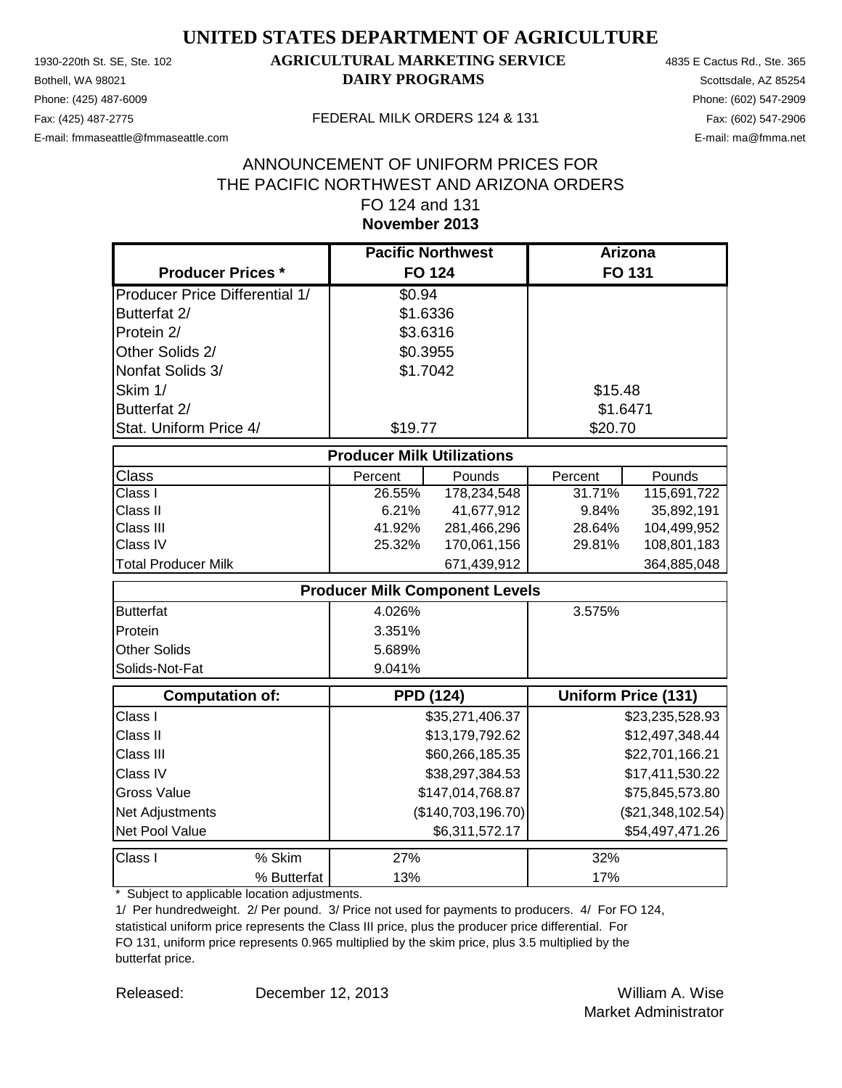Phone: (425) 487-6009 Phone: (602) 547-2909 E-mail: fmmaseattle@fmmaseattle.com E-mail: ma@fmma.net

### 1930-220th St. SE, Ste. 102 **AGRICULTURAL MARKETING SERVICE** 4835 E Cactus Rd., Ste. 365 **Bothell, WA 98021 DAIRY PROGRAMS** Scottsdale, AZ 85254

#### Fax: (425) 487-2775 FEDERAL MILK ORDERS 124 & 131

### **November 2013** ANNOUNCEMENT OF UNIFORM PRICES FOR THE PACIFIC NORTHWEST AND ARIZONA ORDERS FO 124 and 131

|                                       | <b>Pacific Northwest</b>              |                    | Arizona  |                            |
|---------------------------------------|---------------------------------------|--------------------|----------|----------------------------|
| <b>Producer Prices *</b>              |                                       | <b>FO 124</b>      |          | <b>FO 131</b>              |
| <b>Producer Price Differential 1/</b> | \$0.94                                |                    |          |                            |
| Butterfat 2/                          | \$1.6336                              |                    |          |                            |
| Protein 2/                            | \$3.6316                              |                    |          |                            |
| Other Solids 2/                       | \$0.3955                              |                    |          |                            |
| Nonfat Solids 3/                      | \$1.7042                              |                    |          |                            |
| Skim 1/                               |                                       |                    | \$15.48  |                            |
| Butterfat 2/                          |                                       |                    | \$1.6471 |                            |
| Stat. Uniform Price 4/                | \$19.77                               |                    | \$20.70  |                            |
|                                       | <b>Producer Milk Utilizations</b>     |                    |          |                            |
| Class                                 | Percent                               | Pounds             | Percent  | Pounds                     |
| Class I                               | 26.55%                                | 178,234,548        | 31.71%   | 115,691,722                |
| Class II                              | 6.21%                                 | 41,677,912         | 9.84%    | 35,892,191                 |
| Class III                             | 41.92%                                | 281,466,296        | 28.64%   | 104,499,952                |
| Class IV                              | 25.32%                                | 170,061,156        | 29.81%   | 108,801,183                |
| <b>Total Producer Milk</b>            |                                       | 671,439,912        |          | 364,885,048                |
|                                       | <b>Producer Milk Component Levels</b> |                    |          |                            |
| <b>Butterfat</b>                      | 4.026%                                |                    | 3.575%   |                            |
| Protein                               | 3.351%                                |                    |          |                            |
| Other Solids                          | 5.689%                                |                    |          |                            |
| Solids-Not-Fat                        | 9.041%                                |                    |          |                            |
| <b>Computation of:</b>                |                                       | <b>PPD (124)</b>   |          | <b>Uniform Price (131)</b> |
| Class I                               |                                       | \$35,271,406.37    |          | \$23,235,528.93            |
| Class II                              |                                       | \$13,179,792.62    |          | \$12,497,348.44            |
| Class III                             |                                       | \$60,266,185.35    |          | \$22,701,166.21            |
| Class IV                              |                                       | \$38,297,384.53    |          | \$17,411,530.22            |
| <b>Gross Value</b>                    |                                       | \$147,014,768.87   |          | \$75,845,573.80            |
| Net Adjustments                       |                                       | (\$140,703,196.70) |          | (\$21,348,102.54)          |
| Net Pool Value                        |                                       | \$6,311,572.17     |          | \$54,497,471.26            |
| % Skim<br>Class I                     | 27%                                   |                    | 32%      |                            |
| % Butterfat                           | 13%                                   |                    | 17%      |                            |

\* Subject to applicable location adjustments.

1/ Per hundredweight. 2/ Per pound. 3/ Price not used for payments to producers. 4/ For FO 124, statistical uniform price represents the Class III price, plus the producer price differential. For FO 131, uniform price represents 0.965 multiplied by the skim price, plus 3.5 multiplied by the butterfat price.

Released: William A. Wise December 12, 2013 Market Administrator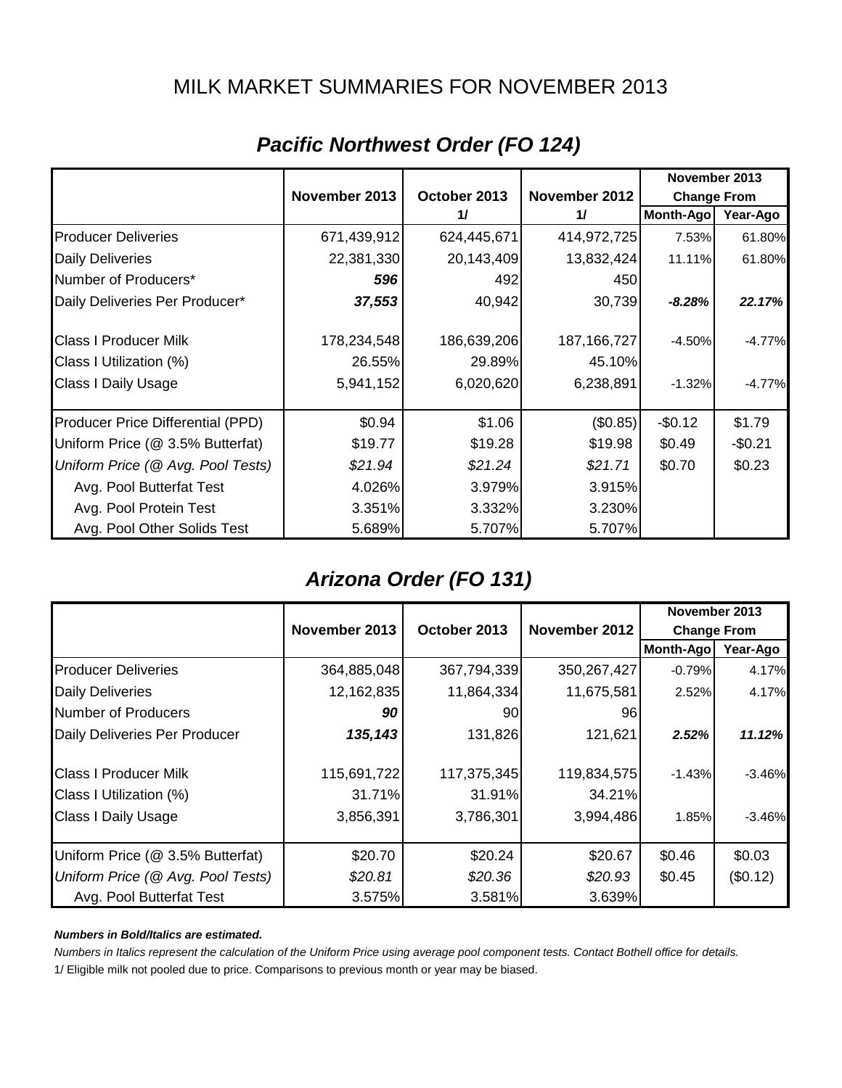### MILK MARKET SUMMARIES FOR NOVEMBER 2013

|                                   |               |              |               | November 2013      |          |
|-----------------------------------|---------------|--------------|---------------|--------------------|----------|
|                                   | November 2013 | October 2013 | November 2012 | <b>Change From</b> |          |
|                                   |               | 11           | 11            | Month-Ago          | Year-Ago |
| <b>Producer Deliveries</b>        | 671,439,912   | 624,445,671  | 414,972,725   | 7.53%              | 61.80%   |
| <b>Daily Deliveries</b>           | 22,381,330    | 20,143,409   | 13,832,424    | 11.11%             | 61.80%   |
| Number of Producers*              | 596           | 492          | 450           |                    |          |
| Daily Deliveries Per Producer*    | 37,553        | 40,942       | 30,739        | $-8.28%$           | 22.17%   |
| <b>Class I Producer Milk</b>      | 178,234,548   | 186,639,206  | 187, 166, 727 | $-4.50%$           | $-4.77%$ |
| Class I Utilization (%)           | 26.55%        | 29.89%       | 45.10%        |                    |          |
| <b>Class I Daily Usage</b>        | 5,941,152     | 6,020,620    | 6,238,891     | $-1.32%$           | $-4.77%$ |
| Producer Price Differential (PPD) | \$0.94        | \$1.06       | (\$0.85)      | $-$0.12$           | \$1.79   |
| Uniform Price (@ 3.5% Butterfat)  | \$19.77       | \$19.28      | \$19.98       | \$0.49             | $-$0.21$ |
| Uniform Price (@ Avg. Pool Tests) | \$21.94       | \$21.24      | \$21.71       | \$0.70             | \$0.23   |
| Avg. Pool Butterfat Test          | 4.026%        | 3.979%       | 3.915%        |                    |          |
| Avg. Pool Protein Test            | 3.351%        | 3.332%       | 3.230%        |                    |          |
| Avg. Pool Other Solids Test       | 5.689%        | 5.707%       | 5.707%        |                    |          |

# *Pacific Northwest Order (FO 124)*

## *Arizona Order (FO 131)*

|                                   |                                                |             |                    |           | November 2013 |
|-----------------------------------|------------------------------------------------|-------------|--------------------|-----------|---------------|
|                                   | November 2013<br>October 2013<br>November 2012 |             | <b>Change From</b> |           |               |
|                                   |                                                |             |                    | Month-Ago | Year-Ago      |
| <b>Producer Deliveries</b>        | 364,885,048                                    | 367,794,339 | 350,267,427        | $-0.79%$  | 4.17%         |
| <b>Daily Deliveries</b>           | 12,162,835                                     | 11,864,334  | 11,675,581         | 2.52%     | 4.17%         |
| Number of Producers               | 90                                             | 90          | 96                 |           |               |
| Daily Deliveries Per Producer     | 135,143                                        | 131,826     | 121,621            | 2.52%     | 11.12%        |
| <b>Class I Producer Milk</b>      | 115,691,722                                    | 117,375,345 | 119,834,575        | $-1.43%$  | $-3.46%$      |
| Class I Utilization (%)           | 31.71%                                         | 31.91%      | 34.21%             |           |               |
| <b>Class I Daily Usage</b>        | 3,856,391                                      | 3,786,301   | 3,994,486          | 1.85%     | $-3.46%$      |
| Uniform Price (@ 3.5% Butterfat)  | \$20.70                                        | \$20.24     | \$20.67            | \$0.46    | \$0.03        |
| Uniform Price (@ Avg. Pool Tests) | \$20.81                                        | \$20.36     | \$20.93            | \$0.45    | (\$0.12)      |
| Avg. Pool Butterfat Test          | 3.575%                                         | 3.581%      | 3.639%             |           |               |

#### *Numbers in Bold/Italics are estimated.*

*Numbers in Italics represent the calculation of the Uniform Price using average pool component tests. Contact Bothell office for details.*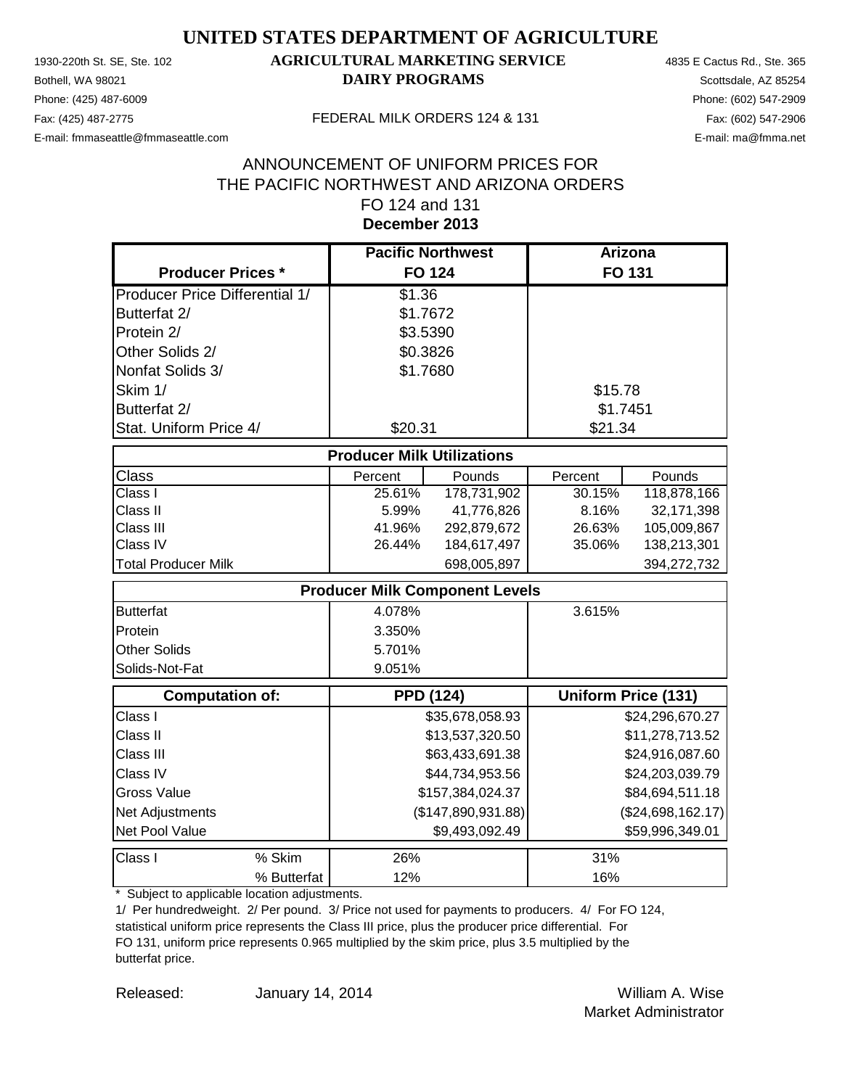Phone: (425) 487-6009 Phone: (602) 547-2909 E-mail: fmmaseattle@fmmaseattle.com E-mail: ma@fmma.net

### 1930-220th St. SE, Ste. 102 **AGRICULTURAL MARKETING SERVICE** 4835 E Cactus Rd., Ste. 365 **Bothell, WA 98021 DAIRY PROGRAMS** Scottsdale, AZ 85254

#### Fax: (425) 487-2775 FEDERAL MILK ORDERS 124 & 131

### **December 2013** ANNOUNCEMENT OF UNIFORM PRICES FOR THE PACIFIC NORTHWEST AND ARIZONA ORDERS FO 124 and 131

|                                       | <b>Pacific Northwest</b>              |                    | <b>Arizona</b>  |                            |
|---------------------------------------|---------------------------------------|--------------------|-----------------|----------------------------|
| <b>Producer Prices *</b>              | <b>FO 124</b>                         |                    |                 | FO 131                     |
| <b>Producer Price Differential 1/</b> | \$1.36                                |                    |                 |                            |
| Butterfat 2/                          | \$1.7672                              |                    |                 |                            |
| Protein 2/                            | \$3.5390                              |                    |                 |                            |
| Other Solids 2/                       | \$0.3826                              |                    |                 |                            |
| Nonfat Solids 3/                      | \$1.7680                              |                    |                 |                            |
| Skim 1/                               |                                       |                    | \$15.78         |                            |
| Butterfat 2/                          |                                       |                    | \$1.7451        |                            |
| Stat. Uniform Price 4/                | \$20.31                               |                    | \$21.34         |                            |
|                                       | <b>Producer Milk Utilizations</b>     |                    |                 |                            |
| <b>Class</b>                          | Percent                               | Pounds             | Percent         | Pounds                     |
| Class I                               | 25.61%                                | 178,731,902        | 30.15%          | 118,878,166                |
| Class II                              | 5.99%                                 | 41,776,826         | 8.16%           | 32,171,398                 |
| Class III                             | 41.96%                                | 292,879,672        | 26.63%          | 105,009,867                |
| Class IV                              | 26.44%                                | 184,617,497        | 35.06%          | 138,213,301                |
| <b>Total Producer Milk</b>            |                                       | 698,005,897        |                 | 394,272,732                |
|                                       | <b>Producer Milk Component Levels</b> |                    |                 |                            |
| <b>Butterfat</b>                      | 4.078%                                |                    | 3.615%          |                            |
| Protein                               | 3.350%                                |                    |                 |                            |
| <b>Other Solids</b>                   | 5.701%                                |                    |                 |                            |
| Solids-Not-Fat                        | 9.051%                                |                    |                 |                            |
| <b>Computation of:</b>                | <b>PPD (124)</b>                      |                    |                 | <b>Uniform Price (131)</b> |
| Class I                               |                                       | \$35,678,058.93    |                 | \$24,296,670.27            |
| Class II                              |                                       | \$13,537,320.50    |                 | \$11,278,713.52            |
| Class III                             |                                       | \$63,433,691.38    |                 | \$24,916,087.60            |
| Class IV                              |                                       | \$44,734,953.56    | \$24,203,039.79 |                            |
| <b>Gross Value</b>                    |                                       | \$157,384,024.37   |                 | \$84,694,511.18            |
| Net Adjustments                       |                                       | (\$147,890,931.88) |                 | (\$24,698,162.17)          |
| Net Pool Value                        |                                       | \$9,493,092.49     |                 | \$59,996,349.01            |
| % Skim<br>Class I                     | 26%                                   |                    | 31%             |                            |
| % Butterfat                           | 12%                                   |                    | 16%             |                            |

\* Subject to applicable location adjustments.

1/ Per hundredweight. 2/ Per pound. 3/ Price not used for payments to producers. 4/ For FO 124, statistical uniform price represents the Class III price, plus the producer price differential. For FO 131, uniform price represents 0.965 multiplied by the skim price, plus 3.5 multiplied by the butterfat price.

Released: William A. Wise January 14, 2014 Market Administrator